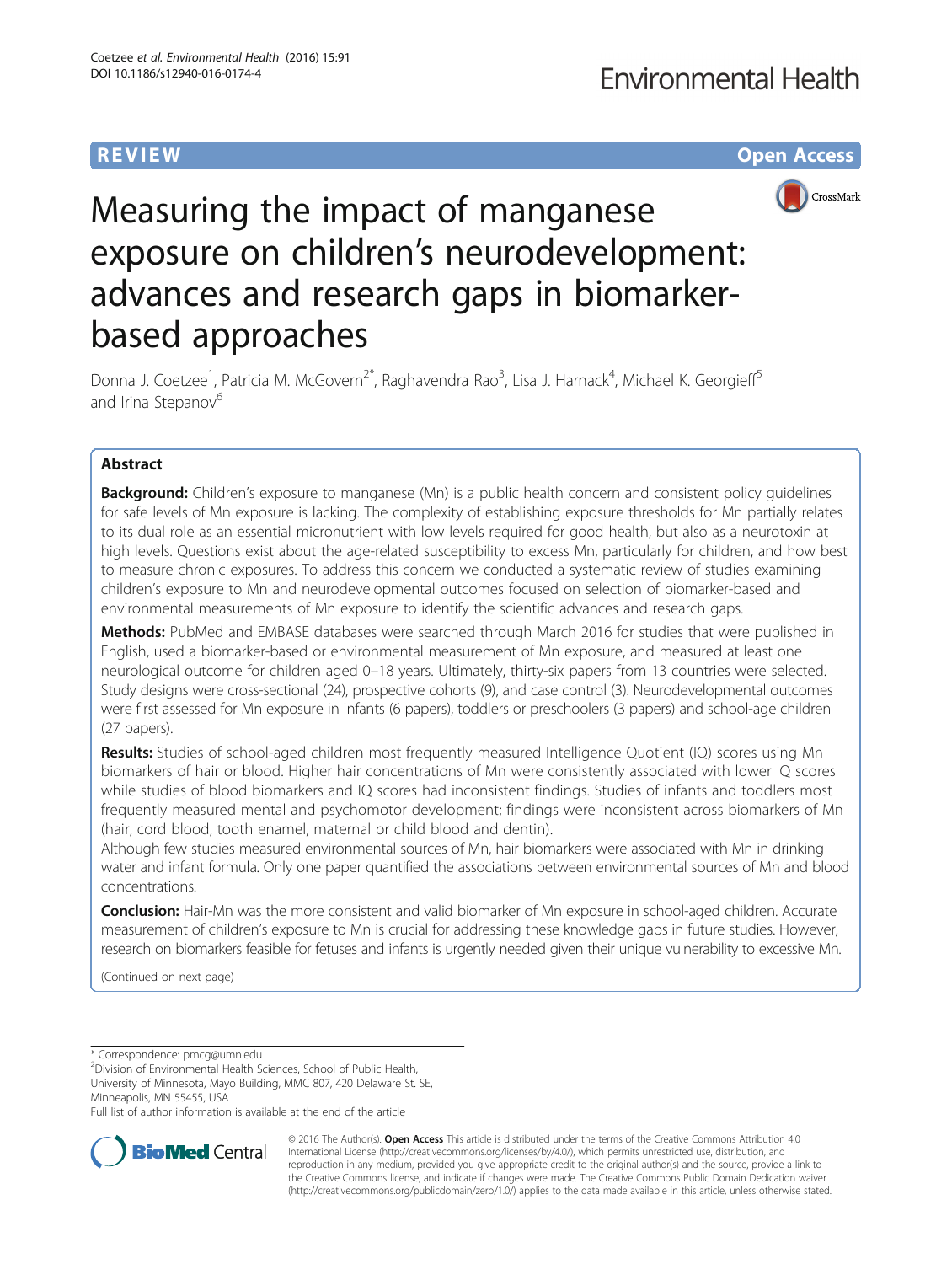**REVIEW ACCESS AND LOCAL CONTRACT CONTRACT OF ACCESS** 



# Measuring the impact of manganese exposure on children's neurodevelopment: advances and research gaps in biomarkerbased approaches

Donna J. Coetzee<sup>1</sup>, Patricia M. McGovern<sup>2\*</sup>, Raghavendra Rao<sup>3</sup>, Lisa J. Harnack<sup>4</sup>, Michael K. Georgieff<sup>5</sup> and Irina Stepanov<sup>6</sup>

## Abstract

**Background:** Children's exposure to manganese (Mn) is a public health concern and consistent policy quidelines for safe levels of Mn exposure is lacking. The complexity of establishing exposure thresholds for Mn partially relates to its dual role as an essential micronutrient with low levels required for good health, but also as a neurotoxin at high levels. Questions exist about the age-related susceptibility to excess Mn, particularly for children, and how best to measure chronic exposures. To address this concern we conducted a systematic review of studies examining children's exposure to Mn and neurodevelopmental outcomes focused on selection of biomarker-based and environmental measurements of Mn exposure to identify the scientific advances and research gaps.

Methods: PubMed and EMBASE databases were searched through March 2016 for studies that were published in English, used a biomarker-based or environmental measurement of Mn exposure, and measured at least one neurological outcome for children aged 0–18 years. Ultimately, thirty-six papers from 13 countries were selected. Study designs were cross-sectional (24), prospective cohorts (9), and case control (3). Neurodevelopmental outcomes were first assessed for Mn exposure in infants (6 papers), toddlers or preschoolers (3 papers) and school-age children (27 papers).

Results: Studies of school-aged children most frequently measured Intelligence Quotient (IQ) scores using Mn biomarkers of hair or blood. Higher hair concentrations of Mn were consistently associated with lower IQ scores while studies of blood biomarkers and IQ scores had inconsistent findings. Studies of infants and toddlers most frequently measured mental and psychomotor development; findings were inconsistent across biomarkers of Mn (hair, cord blood, tooth enamel, maternal or child blood and dentin).

Although few studies measured environmental sources of Mn, hair biomarkers were associated with Mn in drinking water and infant formula. Only one paper quantified the associations between environmental sources of Mn and blood concentrations.

**Conclusion:** Hair-Mn was the more consistent and valid biomarker of Mn exposure in school-aged children. Accurate measurement of children's exposure to Mn is crucial for addressing these knowledge gaps in future studies. However, research on biomarkers feasible for fetuses and infants is urgently needed given their unique vulnerability to excessive Mn.

(Continued on next page)

\* Correspondence: [pmcg@umn.edu](mailto:pmcg@umn.edu) <sup>2</sup>

<sup>2</sup>Division of Environmental Health Sciences, School of Public Health,

University of Minnesota, Mayo Building, MMC 807, 420 Delaware St. SE, Minneapolis, MN 55455, USA

Full list of author information is available at the end of the article



© 2016 The Author(s). Open Access This article is distributed under the terms of the Creative Commons Attribution 4.0 International License [\(http://creativecommons.org/licenses/by/4.0/](http://creativecommons.org/licenses/by/4.0/)), which permits unrestricted use, distribution, and reproduction in any medium, provided you give appropriate credit to the original author(s) and the source, provide a link to the Creative Commons license, and indicate if changes were made. The Creative Commons Public Domain Dedication waiver [\(http://creativecommons.org/publicdomain/zero/1.0/](http://creativecommons.org/publicdomain/zero/1.0/)) applies to the data made available in this article, unless otherwise stated.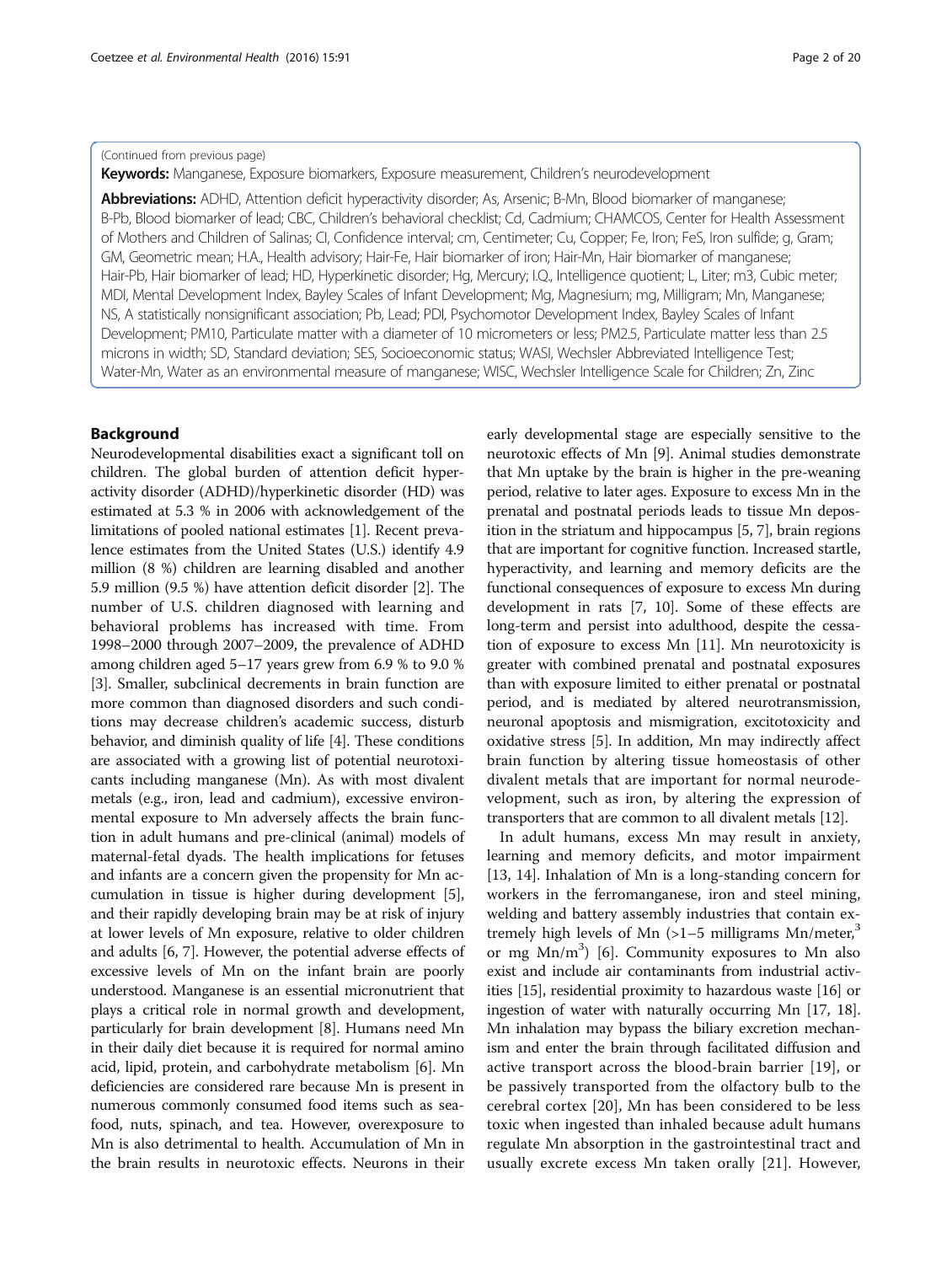#### (Continued from previous page)

Keywords: Manganese, Exposure biomarkers, Exposure measurement, Children's neurodevelopment

Abbreviations: ADHD, Attention deficit hyperactivity disorder; As, Arsenic; B-Mn, Blood biomarker of manganese; B-Pb, Blood biomarker of lead; CBC, Children's behavioral checklist; Cd, Cadmium; CHAMCOS, Center for Health Assessment of Mothers and Children of Salinas; CI, Confidence interval; cm, Centimeter; Cu, Copper; Fe, Iron; FeS, Iron sulfide; g, Gram; GM, Geometric mean; H.A., Health advisory; Hair-Fe, Hair biomarker of iron; Hair-Mn, Hair biomarker of manganese; Hair-Pb, Hair biomarker of lead; HD, Hyperkinetic disorder; Hg, Mercury; I.Q., Intelligence quotient; L, Liter; m3, Cubic meter; MDI, Mental Development Index, Bayley Scales of Infant Development; Mg, Magnesium; mg, Milligram; Mn, Manganese; NS, A statistically nonsignificant association; Pb, Lead; PDI, Psychomotor Development Index, Bayley Scales of Infant Development; PM10, Particulate matter with a diameter of 10 micrometers or less; PM2.5, Particulate matter less than 2.5 microns in width; SD, Standard deviation; SES, Socioeconomic status; WASI, Wechsler Abbreviated Intelligence Test; Water-Mn, Water as an environmental measure of manganese; WISC, Wechsler Intelligence Scale for Children; Zn, Zinc

#### Background

Neurodevelopmental disabilities exact a significant toll on children. The global burden of attention deficit hyperactivity disorder (ADHD)/hyperkinetic disorder (HD) was estimated at 5.3 % in 2006 with acknowledgement of the limitations of pooled national estimates [[1](#page-18-0)]. Recent prevalence estimates from the United States (U.S.) identify 4.9 million (8 %) children are learning disabled and another 5.9 million (9.5 %) have attention deficit disorder [\[2](#page-18-0)]. The number of U.S. children diagnosed with learning and behavioral problems has increased with time. From 1998–2000 through 2007–2009, the prevalence of ADHD among children aged 5–17 years grew from 6.9 % to 9.0 % [[3\]](#page-18-0). Smaller, subclinical decrements in brain function are more common than diagnosed disorders and such conditions may decrease children's academic success, disturb behavior, and diminish quality of life [[4\]](#page-18-0). These conditions are associated with a growing list of potential neurotoxicants including manganese (Mn). As with most divalent metals (e.g., iron, lead and cadmium), excessive environmental exposure to Mn adversely affects the brain function in adult humans and pre-clinical (animal) models of maternal-fetal dyads. The health implications for fetuses and infants are a concern given the propensity for Mn accumulation in tissue is higher during development [[5](#page-18-0)], and their rapidly developing brain may be at risk of injury at lower levels of Mn exposure, relative to older children and adults [[6](#page-18-0), [7](#page-18-0)]. However, the potential adverse effects of excessive levels of Mn on the infant brain are poorly understood. Manganese is an essential micronutrient that plays a critical role in normal growth and development, particularly for brain development [[8](#page-18-0)]. Humans need Mn in their daily diet because it is required for normal amino acid, lipid, protein, and carbohydrate metabolism [[6\]](#page-18-0). Mn deficiencies are considered rare because Mn is present in numerous commonly consumed food items such as seafood, nuts, spinach, and tea. However, overexposure to Mn is also detrimental to health. Accumulation of Mn in the brain results in neurotoxic effects. Neurons in their

early developmental stage are especially sensitive to the neurotoxic effects of Mn [[9](#page-18-0)]. Animal studies demonstrate that Mn uptake by the brain is higher in the pre-weaning period, relative to later ages. Exposure to excess Mn in the prenatal and postnatal periods leads to tissue Mn deposition in the striatum and hippocampus [\[5](#page-18-0), [7](#page-18-0)], brain regions that are important for cognitive function. Increased startle, hyperactivity, and learning and memory deficits are the functional consequences of exposure to excess Mn during development in rats [[7](#page-18-0), [10](#page-18-0)]. Some of these effects are long-term and persist into adulthood, despite the cessation of exposure to excess Mn [\[11](#page-18-0)]. Mn neurotoxicity is greater with combined prenatal and postnatal exposures than with exposure limited to either prenatal or postnatal period, and is mediated by altered neurotransmission, neuronal apoptosis and mismigration, excitotoxicity and oxidative stress [\[5\]](#page-18-0). In addition, Mn may indirectly affect brain function by altering tissue homeostasis of other divalent metals that are important for normal neurodevelopment, such as iron, by altering the expression of transporters that are common to all divalent metals [\[12\]](#page-18-0).

In adult humans, excess Mn may result in anxiety, learning and memory deficits, and motor impairment [[13, 14\]](#page-18-0). Inhalation of Mn is a long-standing concern for workers in the ferromanganese, iron and steel mining, welding and battery assembly industries that contain extremely high levels of Mn  $(>1-5)$  milligrams Mn/meter,<sup>3</sup> or mg Mn/m<sup>3</sup>) [[6\]](#page-18-0). Community exposures to Mn also exist and include air contaminants from industrial activities [[15](#page-18-0)], residential proximity to hazardous waste [\[16\]](#page-18-0) or ingestion of water with naturally occurring Mn [[17,](#page-18-0) [18](#page-19-0)]. Mn inhalation may bypass the biliary excretion mechanism and enter the brain through facilitated diffusion and active transport across the blood-brain barrier [\[19](#page-19-0)], or be passively transported from the olfactory bulb to the cerebral cortex [[20\]](#page-19-0), Mn has been considered to be less toxic when ingested than inhaled because adult humans regulate Mn absorption in the gastrointestinal tract and usually excrete excess Mn taken orally [[21\]](#page-19-0). However,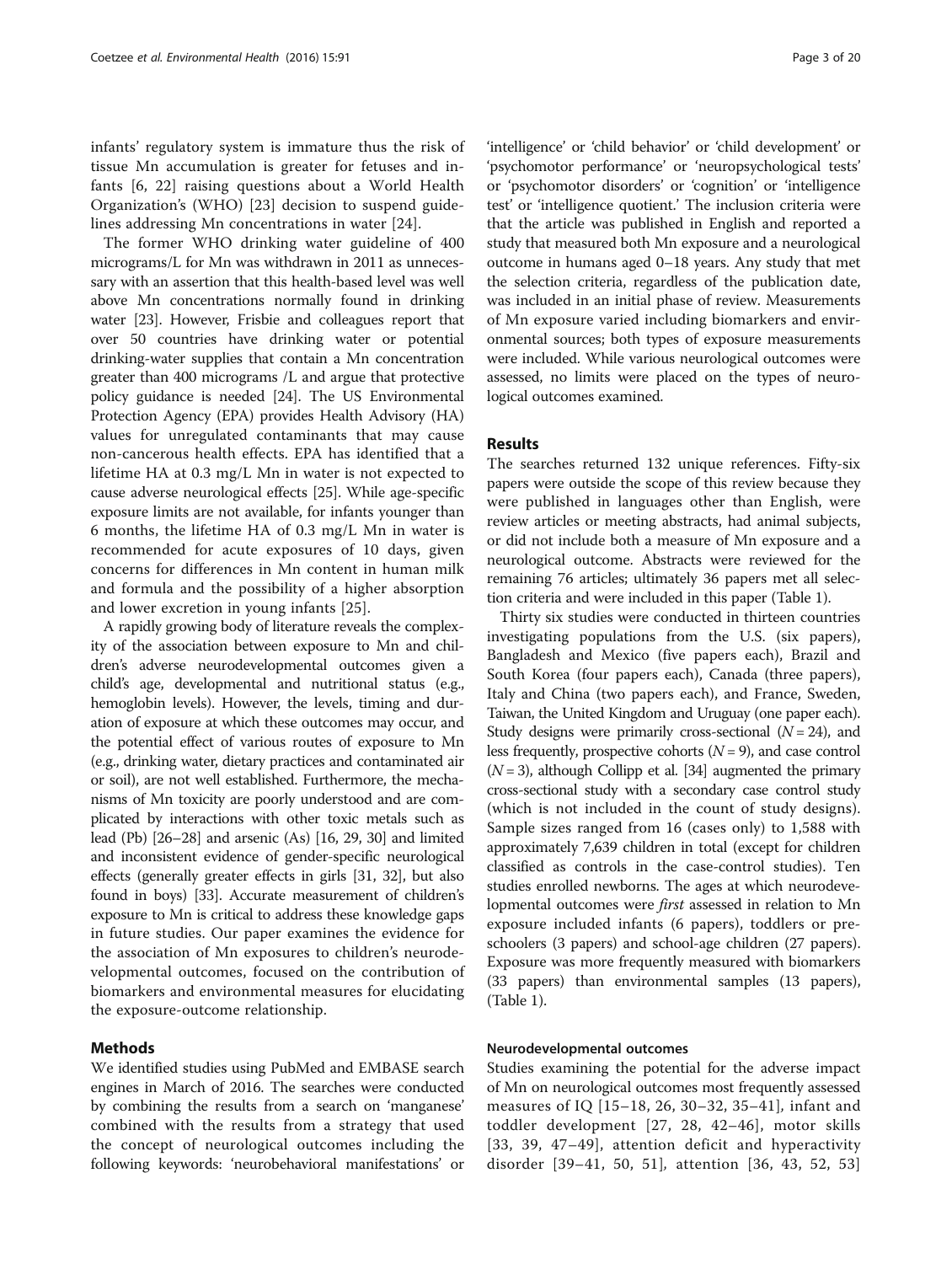infants' regulatory system is immature thus the risk of tissue Mn accumulation is greater for fetuses and infants [\[6](#page-18-0), [22](#page-19-0)] raising questions about a World Health Organization's (WHO) [\[23](#page-19-0)] decision to suspend guidelines addressing Mn concentrations in water [\[24](#page-19-0)].

The former WHO drinking water guideline of 400 micrograms/L for Mn was withdrawn in 2011 as unnecessary with an assertion that this health-based level was well above Mn concentrations normally found in drinking water [[23](#page-19-0)]. However, Frisbie and colleagues report that over 50 countries have drinking water or potential drinking-water supplies that contain a Mn concentration greater than 400 micrograms /L and argue that protective policy guidance is needed [[24](#page-19-0)]. The US Environmental Protection Agency (EPA) provides Health Advisory (HA) values for unregulated contaminants that may cause non-cancerous health effects. EPA has identified that a lifetime HA at 0.3 mg/L Mn in water is not expected to cause adverse neurological effects [[25](#page-19-0)]. While age-specific exposure limits are not available, for infants younger than 6 months, the lifetime HA of 0.3 mg/L Mn in water is recommended for acute exposures of 10 days, given concerns for differences in Mn content in human milk and formula and the possibility of a higher absorption and lower excretion in young infants [[25](#page-19-0)].

A rapidly growing body of literature reveals the complexity of the association between exposure to Mn and children's adverse neurodevelopmental outcomes given a child's age, developmental and nutritional status (e.g., hemoglobin levels). However, the levels, timing and duration of exposure at which these outcomes may occur, and the potential effect of various routes of exposure to Mn (e.g., drinking water, dietary practices and contaminated air or soil), are not well established. Furthermore, the mechanisms of Mn toxicity are poorly understood and are complicated by interactions with other toxic metals such as lead (Pb) [\[26](#page-19-0)–[28](#page-19-0)] and arsenic (As) [\[16,](#page-18-0) [29](#page-19-0), [30](#page-19-0)] and limited and inconsistent evidence of gender-specific neurological effects (generally greater effects in girls [[31](#page-19-0), [32\]](#page-19-0), but also found in boys) [\[33\]](#page-19-0). Accurate measurement of children's exposure to Mn is critical to address these knowledge gaps in future studies. Our paper examines the evidence for the association of Mn exposures to children's neurodevelopmental outcomes, focused on the contribution of biomarkers and environmental measures for elucidating the exposure-outcome relationship.

#### Methods

We identified studies using PubMed and EMBASE search engines in March of 2016. The searches were conducted by combining the results from a search on 'manganese' combined with the results from a strategy that used the concept of neurological outcomes including the following keywords: 'neurobehavioral manifestations' or

'intelligence' or 'child behavior' or 'child development' or 'psychomotor performance' or 'neuropsychological tests' or 'psychomotor disorders' or 'cognition' or 'intelligence test' or 'intelligence quotient.' The inclusion criteria were that the article was published in English and reported a study that measured both Mn exposure and a neurological outcome in humans aged 0–18 years. Any study that met the selection criteria, regardless of the publication date, was included in an initial phase of review. Measurements of Mn exposure varied including biomarkers and environmental sources; both types of exposure measurements were included. While various neurological outcomes were assessed, no limits were placed on the types of neurological outcomes examined.

#### Results

The searches returned 132 unique references. Fifty-six papers were outside the scope of this review because they were published in languages other than English, were review articles or meeting abstracts, had animal subjects, or did not include both a measure of Mn exposure and a neurological outcome. Abstracts were reviewed for the remaining 76 articles; ultimately 36 papers met all selection criteria and were included in this paper (Table [1](#page-3-0)).

Thirty six studies were conducted in thirteen countries investigating populations from the U.S. (six papers), Bangladesh and Mexico (five papers each), Brazil and South Korea (four papers each), Canada (three papers), Italy and China (two papers each), and France, Sweden, Taiwan, the United Kingdom and Uruguay (one paper each). Study designs were primarily cross-sectional  $(N = 24)$ , and less frequently, prospective cohorts  $(N = 9)$ , and case control  $(N = 3)$ , although Collipp et al. [[34\]](#page-19-0) augmented the primary cross-sectional study with a secondary case control study (which is not included in the count of study designs). Sample sizes ranged from 16 (cases only) to 1,588 with approximately 7,639 children in total (except for children classified as controls in the case-control studies). Ten studies enrolled newborns. The ages at which neurodevelopmental outcomes were first assessed in relation to Mn exposure included infants (6 papers), toddlers or preschoolers (3 papers) and school-age children (27 papers). Exposure was more frequently measured with biomarkers (33 papers) than environmental samples (13 papers), (Table [1](#page-3-0)).

#### Neurodevelopmental outcomes

Studies examining the potential for the adverse impact of Mn on neurological outcomes most frequently assessed measures of IQ [[15](#page-18-0)–[18, 26, 30](#page-19-0)–[32, 35](#page-19-0)–[41](#page-19-0)], infant and toddler development [[27, 28, 42](#page-19-0)–[46](#page-19-0)], motor skills [[33, 39](#page-19-0), [47](#page-19-0)–[49](#page-19-0)], attention deficit and hyperactivity disorder [[39](#page-19-0)–[41](#page-19-0), [50](#page-19-0), [51](#page-19-0)], attention [[36, 43, 52](#page-19-0), [53](#page-19-0)]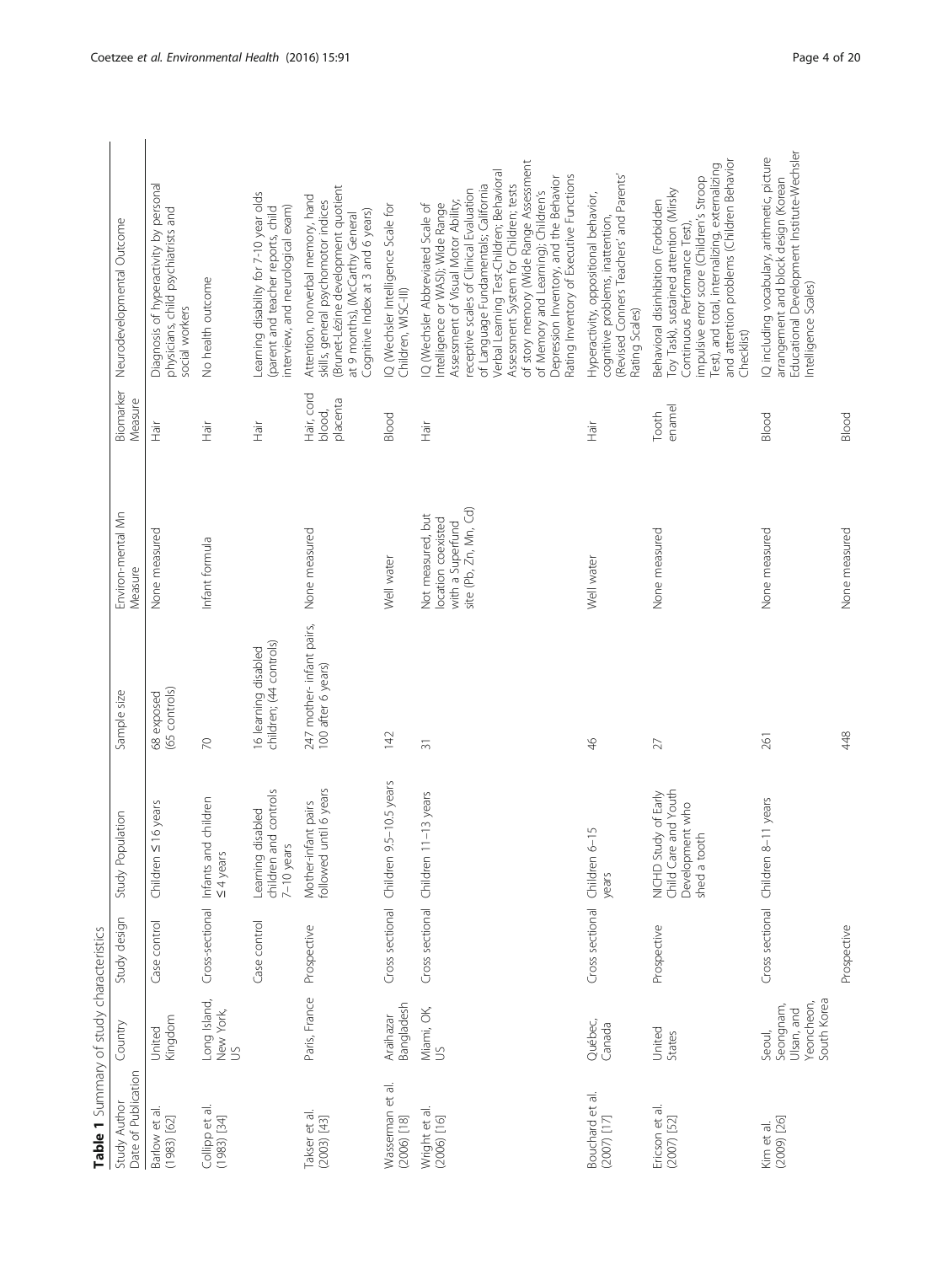<span id="page-3-0"></span>

| Table 1 Summary of study characteristics |                                                                |                          |                                                                                 |                                                 |                                                                                      |                                  |                                                                                                                                                                                                                                                                                                                                                                                                                                                              |
|------------------------------------------|----------------------------------------------------------------|--------------------------|---------------------------------------------------------------------------------|-------------------------------------------------|--------------------------------------------------------------------------------------|----------------------------------|--------------------------------------------------------------------------------------------------------------------------------------------------------------------------------------------------------------------------------------------------------------------------------------------------------------------------------------------------------------------------------------------------------------------------------------------------------------|
| Date of Publication<br>Study Author      | Country                                                        | Study design             | Study Population                                                                | Sample size                                     | Environ-mental Mn<br>Measure                                                         | Biomarker<br>Measure             | Neurodevelopmental Outcome                                                                                                                                                                                                                                                                                                                                                                                                                                   |
| Barlow et al<br>$(1983)$ $[62]$          | Kingdom<br>United                                              | Case control             | $\leq$ 16 years<br>Children:                                                    | (65 controls)<br>68 exposed                     | None measured                                                                        | Нāіr                             | Diagnosis of hyperactivity by personal<br>physicians, child psychiatrists and<br>social workers                                                                                                                                                                                                                                                                                                                                                              |
| Collipp et al.<br>(1983) [34]            | Long Island,<br>New York,<br>US                                |                          | Cross-sectional Infants and children<br>$\leq 4$ years                          | $\overline{C}$                                  | Infant formula                                                                       | Hair                             | No health outcome                                                                                                                                                                                                                                                                                                                                                                                                                                            |
|                                          |                                                                | Case control             | children and controls<br>Learning disabled<br>$7-10$ years                      | children; (44 controls)<br>16 learning disabled |                                                                                      | TieH                             | Learning disability for 7-10 year olds<br>interview, and neurological exam)<br>(parent and teacher reports, child                                                                                                                                                                                                                                                                                                                                            |
| Takser et al.<br>$(2003)$ [43]           | Paris, France                                                  | Prospective              | Mother-infant pairs<br>followed until 6 years                                   | 247 mother- infant pairs,<br>100 after 6 years) | None measured                                                                        | Hair, cord<br>placenta<br>blood, | (Brunet-Lézine development quotient<br>Attention, nonverbal memory, hand<br>skills, general psychomotor indices<br>Cognitive Index at 3 and 6 years)<br>at 9 months), (McCarthy General                                                                                                                                                                                                                                                                      |
| Wasserman et al.<br>$(2006)$ $[18]$      | Bangladesh<br>Araihazar                                        | Cross sectional          | $9.5 - 10.5$ years<br>Children                                                  | 142                                             | Well water                                                                           | Blood                            | IQ (Wechsler Intelligence Scale for<br>Children, WISC-III)                                                                                                                                                                                                                                                                                                                                                                                                   |
| Wright et al<br>$(2006)$ $[16]$          | Miami, OK,<br>US                                               | Cross sectional Children | $11 - 13$ years                                                                 | $\overline{31}$                                 | site (Pb, Zn, Mn, Cd)<br>Not measured, but<br>location coexisted<br>with a Superfund | Hair                             | of story memory (Wide Range Assessment<br>Verbal Learning Test-Children; Behavioral<br>Rating Inventory of Executive Functions<br>Depression Inventory, and the Behavior<br>of Language Fundamentals; California<br>Assessment System for Children; tests<br>receptive scales of Clinical Evaluation<br>of Memory and Learning); Children's<br>Assessment of Visual Motor Ability;<br>Intelligence or WASI); Wide Range<br>IQ (Wechsler Abbreviated Scale of |
| Bouchard et al.<br>$(2007)$ $[17]$       | Québec,<br>Canada                                              | Cross sectional          | $6 - 15$<br>Children<br>years                                                   | 46                                              | Well water                                                                           | TieH                             | Revised Conners Teachers' and Parents'<br>Hyperactivity, oppositional behavior,<br>cognitive problems, inattention,<br>Rating Scales)                                                                                                                                                                                                                                                                                                                        |
| Ericson et al.<br>$(2007)$ [52]          | United<br>States                                               | Prospective              | Child Care and Youth<br>NICHD Study of Early<br>Development who<br>shed a tooth | 27                                              | None measured                                                                        | enamel<br>Tooth                  | and attention problems (Children Behavior<br>Test), and total, internalizing, externalizing<br>impulsive error score (Children's Stroop<br>Toy Task), sustained attention (Mirsky<br>Behavioral disinhibition (Forbidden<br>Continuous Performance Test),<br>Checklist)                                                                                                                                                                                      |
| (2009) [26]<br>Kim et al.                | South Korea<br>Yeoncheon,<br>Seongnam,<br>Ulsan, and<br>Seoul, | Cross sectional Children | 8-11 years                                                                      | 261                                             | None measured                                                                        | Blood                            | Educational Development Institute-Wechsler<br>Q including vocabulary, arithmetic, picture<br>arrangement and block design (Korean<br>Intelligence Scales)                                                                                                                                                                                                                                                                                                    |
|                                          |                                                                | Prospective              |                                                                                 | 448                                             | None measured                                                                        | Blood                            |                                                                                                                                                                                                                                                                                                                                                                                                                                                              |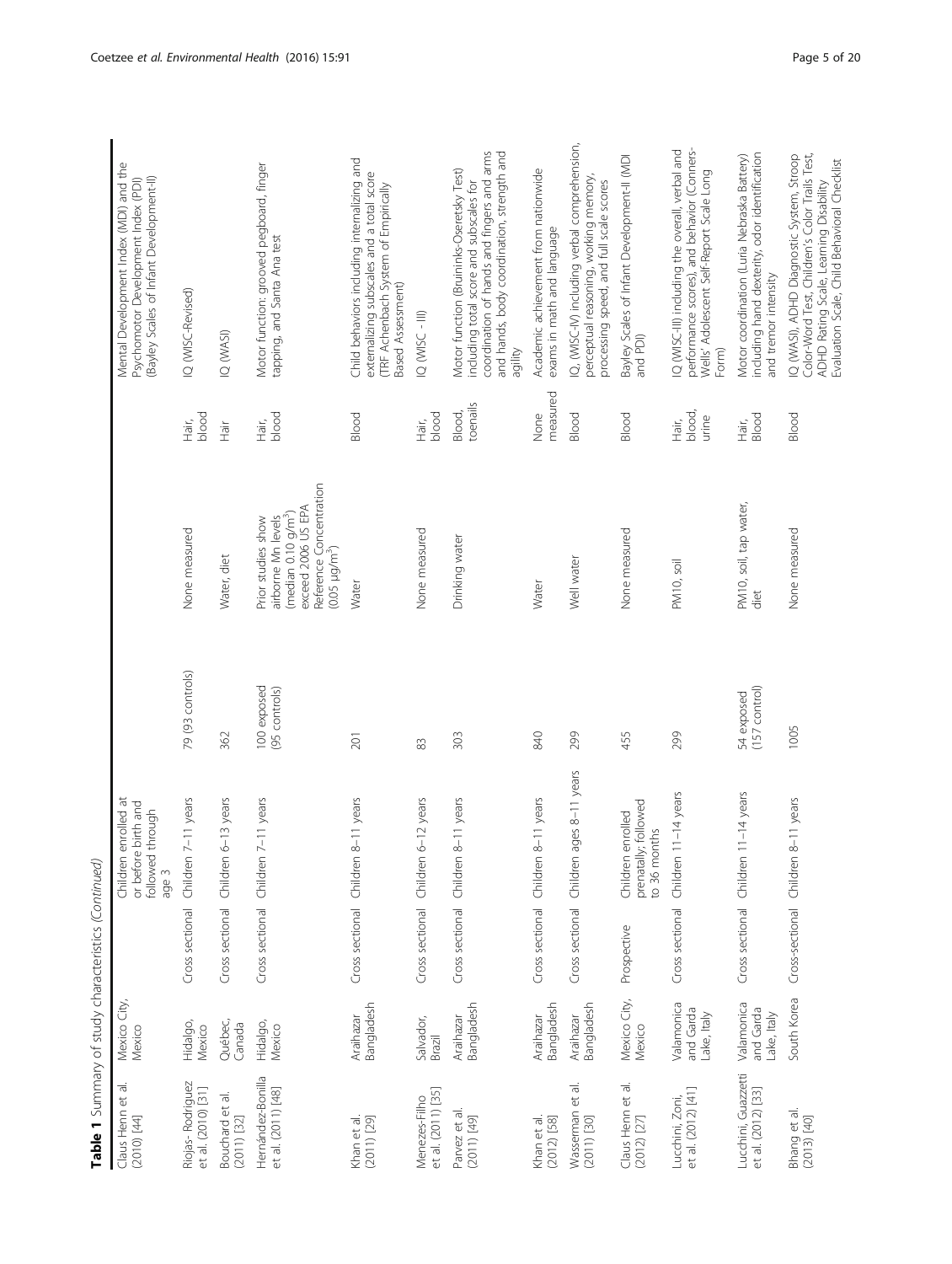| Claus Henn et al.<br>(2010) [44]               | Mexico City,<br>Mexico                 |                          | Children enrolled at<br>or before birth and<br>through<br>followed<br>age 3 |                                       |                                                                                                                                                        |                          | Mental Development Index (MDI) and the<br>(Bayley Scales of Infant Development-II)<br>Psychomotor Development Index (PDI)                                                                   |
|------------------------------------------------|----------------------------------------|--------------------------|-----------------------------------------------------------------------------|---------------------------------------|--------------------------------------------------------------------------------------------------------------------------------------------------------|--------------------------|---------------------------------------------------------------------------------------------------------------------------------------------------------------------------------------------|
| Riojas-Rodriguez<br>et al. (2010) [31]         | Hidalgo,<br>Mexico                     | Cross sectional          | Children 7-11 years                                                         | 79 (93 controls)                      | None measured                                                                                                                                          | blood<br>Hair,           | IQ (WISC-Revised)                                                                                                                                                                           |
| $\overline{5}$<br>Bouchard et<br>$(2011)$ [32] | Québec,<br>Canada                      | Cross sectional          | Children 6-13 years                                                         | 362                                   | Water, diet                                                                                                                                            | Hair                     | IQ (WASI)                                                                                                                                                                                   |
| Hernández-Bonilla<br>et al. (2011) [48]        | Hidalgo,<br>Mexico                     | Cross sectional          | Children 7-11 years                                                         | 100 exposed<br>(95 controls)          | Reference Concentration<br>exceed 2006 US EPA<br>(median $0.10$ g/m <sup>3</sup> )<br>airborne Mn levels<br>Prior studies show<br>$(0.05 \ \mu g/m^3)$ | blood<br>Hair,           | Motor function: grooved pegboard, finger<br>tapping, and Santa Ana test                                                                                                                     |
| Khan et al.<br>(2011) [29]                     | Bangladesh<br>Araihazar                |                          | Cross sectional Children 8-11 years                                         | 201                                   | Water                                                                                                                                                  | Blood                    | Child behaviors including internalizing and<br>externalizing subscales and a total score<br>(TRF Achenbach System of Empirically<br>Based Assessment)                                       |
| et al. (2011) [35]<br>Menezes-Filho            | Salvador,<br>Brazil                    |                          | Cross sectional Children 6-12 years                                         | 83                                    | None measured                                                                                                                                          | blood<br>Hair,           | IQ (WISC - III)                                                                                                                                                                             |
| Parvez et al<br>$[2011]$ $[49]$                | Bangladesh<br>Araihazar                | Cross sectional          | Children 8-11 years                                                         | 303                                   | Drinking water                                                                                                                                         | toenails<br>Blood,       | coordination of hands and fingers and arms<br>and hands, body coordination, strength and<br>Motor function (Bruininks-Oseretsky Test)<br>including total score and subscales for<br>agility |
| $(2012)$ [58]<br>Khan et al                    | Bangladesh<br>Araihazar                | Cross sectional          | Children 8-11 years                                                         | 840                                   | Water                                                                                                                                                  | measured<br>None         | Academic achievement from nationwide<br>exams in math and language                                                                                                                          |
| Wasserman et al.<br>$(2011)$ [30]              | Bangladesh<br>Araihazar                | Cross sectional          | Children ages 8-11 years                                                    | 299                                   | Well water                                                                                                                                             | Blood                    | IQ, (WISC-IV) including verbal comprehension,<br>perceptual reasoning, working memory,<br>processing speed, and full scale scores                                                           |
| Claus Henn et al.<br>(2012) [27]               | Mexico City,<br>Mexico                 | Prospective              | prenatally; followed<br>Children enrolled<br>to 36 months                   | 455                                   | None measured                                                                                                                                          | Blood                    | Bayley Scales of Infant Development-II (MDI<br>and PDI)                                                                                                                                     |
| Lucchini, Zoni,<br>et al. (2012) [41]          | Valamonica<br>and Garda<br>Lake, Italy | Cross sectional          | $1 - 14$ years<br>Children                                                  | 299                                   | PM10, soil                                                                                                                                             | blood,<br>urine<br>Hair, | Q (WISC-III) including the overall, verbal and<br>performance scores), and behavior (Conners-<br>Wells' Adolescent Self-Report Scale Long<br>Form)                                          |
| Lucchini, Guazzetti<br>et al. (2012) [33]      | Valamonica<br>and Garda<br>Lake, Italy | Cross sectional Children | $1-14$ years                                                                | $(157 \text{ control})$<br>54 exposed | PM10, soil, tap water,<br>diet                                                                                                                         | Blood<br>Hair,           | including hand dexterity, odor identification<br>Motor coordination (Luria Nebraska Battery)<br>and tremor intensity                                                                        |
| Bhang et al.<br>(2013) [40]                    | South Korea                            |                          | Cross-sectional Children 8-11 years                                         | 1005                                  | None measured                                                                                                                                          | Blood                    | Color-Word Test, Children's Color Trails Test,<br>IQ (WASI), ADHD Diagnostic System, Stroop<br>Evaluation Scale, Child Behavioral Checklist<br>ADHD Rating Scale, Learning Disability       |

Table 1 Summary of study characteristics (Continued) **Table 1** Summary of study characteristics (Continued)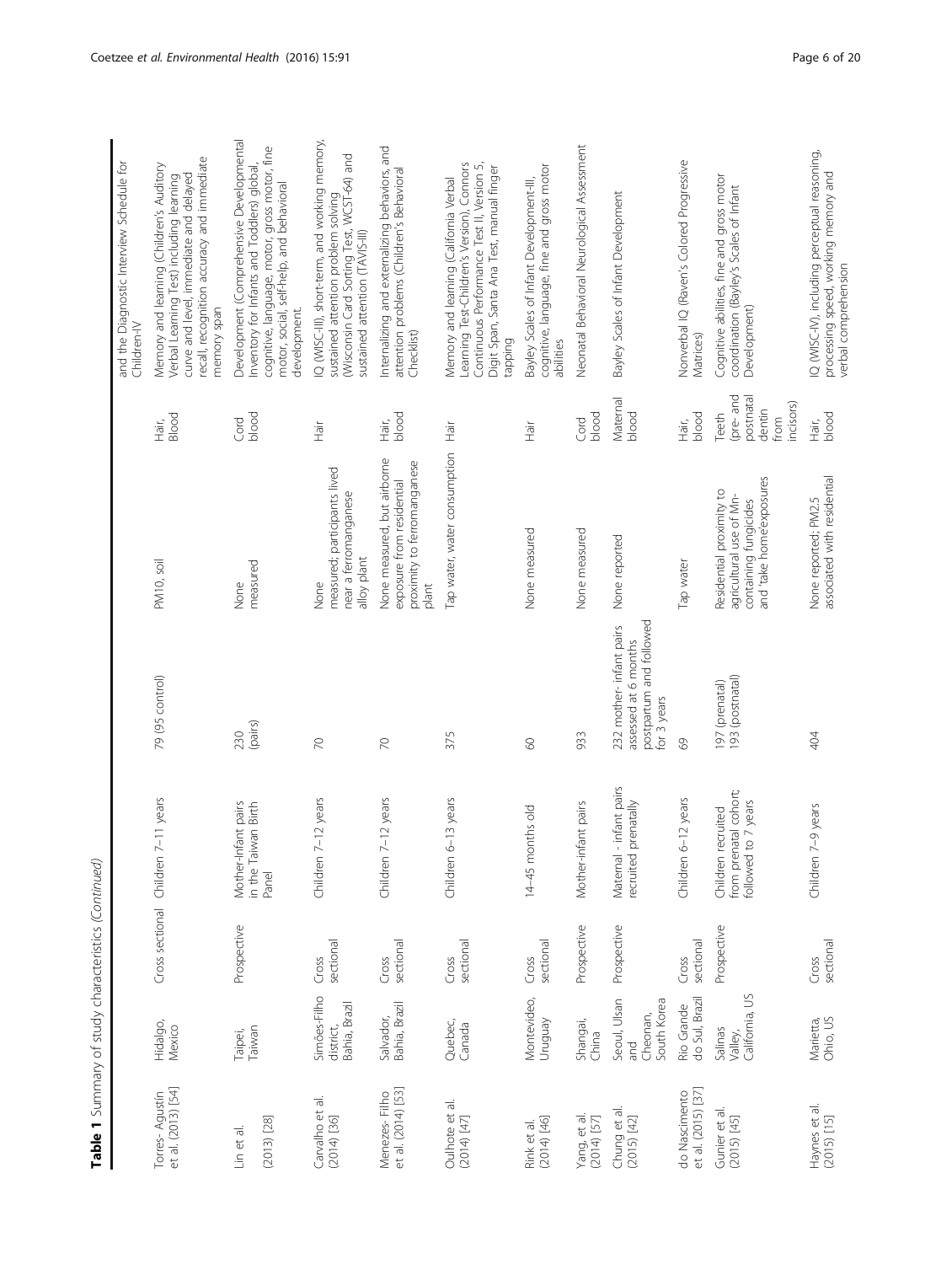|                                      |                                                |                    |                                                                    |                                                                                            |                                                                                                          |                                                               | and the Diagnostic Interview Schedule for<br>Children-IV                                                                                                                                             |
|--------------------------------------|------------------------------------------------|--------------------|--------------------------------------------------------------------|--------------------------------------------------------------------------------------------|----------------------------------------------------------------------------------------------------------|---------------------------------------------------------------|------------------------------------------------------------------------------------------------------------------------------------------------------------------------------------------------------|
| et al. (2013) [54]<br>Torres-Agustín | Hidalgo,<br>Mexico                             |                    | Cross sectional Children 7-11 years                                | 79 (95 control)                                                                            | PM10, soil                                                                                               | Blood<br>Hair,                                                | recall, recognition accuracy and immediate<br>Memory and learning (Children's Auditory<br>curve and level, immediate and delayed<br>Verbal Learning Test) including learning<br>memory span          |
| $(2013)$ $[28]$<br>Lin et al.        | Taiwan<br>Taipei,                              | Prospective        | Mother-Infant pairs<br>in the Taiwan Birth<br>Panel                | (pairs)<br>230                                                                             | measured<br>None                                                                                         | blood<br>Cord                                                 | Development (Comprehensive Developmental<br>cognitive, language, motor, gross motor, fine<br>Inventory for Infants and Toddlers) global,<br>motor, social, self-help, and behavioral<br>development. |
| Carvalho et al.<br>$(2014)$ [36]     | Simões-Filho<br>Bahia, Brazil<br>district,     | sectional<br>Cross | $7-12$ years<br>Children                                           | $\approx$                                                                                  | measured; participants lived<br>near a ferromanganese<br>alloy plant<br>None                             | Hair                                                          | IQ (WISC-III), short-term, and working memory.<br>(Wisconsin Card Sorting Test, WCST-64) and<br>sustained attention problem solving<br>sustained attention (TAVIS-III)                               |
| et al. (2014) [53]<br>Menezes-Filho  | Bahia, Brazil<br>Salvador,                     | sectional<br>Cross | $7-12$ years<br>Children                                           | $\approx$                                                                                  | None measured, but airborne<br>proximity to ferromanganese<br>exposure from residential<br>plant         | blood<br>Hair,                                                | Internalizing and externalizing behaviors, and<br>attention problems (Children's Behavioral<br>Checklist)                                                                                            |
| Oulhote et al.<br>$(2014)$ $[47]$    | Quebec,<br>Canada                              | sectional<br>Cross | $6-13$ years<br>Children                                           | 375                                                                                        | Tap water, water consumption Hair                                                                        |                                                               | Learning Test-Children's Version), Connors<br>Continuous Performance Test II, Version 5,<br>Digit Span, Santa Ana Test, manual finger<br>Memory and learning (California Verbal<br>tapping           |
| (2014) [46]<br>Rink et al.           | Montevideo,<br>Venbnun                         | sectional<br>Cross | 14-45 months old                                                   | $\otimes$                                                                                  | None measured                                                                                            | Нäіr                                                          | cognitive, language, fine and gross motor<br>Bayley Scales of Infant Development-III,<br>abilities                                                                                                   |
| Yang, et al.<br>(2014) [57]          | Shangai,<br>China                              | Prospective        | Mother-infant pairs                                                | 933                                                                                        | None measured                                                                                            | blood<br>Cord                                                 | Neonatal Behavioral Neurological Assessment                                                                                                                                                          |
| Chung et al.<br>(2015) [42]          | Seoul, Ulsan<br>South Korea<br>Cheonan,<br>pue | Prospective        | Maternal - infant pairs<br>recruited prenatally                    | postpartum and followed<br>232 mother- infant pairs<br>assessed at 6 months<br>for 3 years | None reported                                                                                            | Maternal<br>blood                                             | Bayley Scales of Infant Development                                                                                                                                                                  |
| et al. (2015) [37]<br>do Nascimento  | do Sul, Brazil<br>Rio Grande                   | sectional<br>Cross | $6-12$ years<br>Children                                           | $\odot$                                                                                    | Tap water                                                                                                | blood<br>Hair,                                                | Nonverbal IQ (Raven's Colored Progressive<br>Matrices)                                                                                                                                               |
| Gunier et al.<br>$(2015)$ [45]       | California, US<br>Salinas<br>Valley,           | Prospective        | from prenatal cohort;<br>followed to 7 years<br>Children recruited | 193 (postnatal)<br>197 (prenatal)                                                          | and 'take home'exposures<br>Residential proximity to<br>agricultural use of Mn-<br>containing fungicides | (pre-and<br>postnatal<br>incisors)<br>dentin<br>Teeth<br>from | Cognitive abilities, fine and gross motor<br>coordination (Bayley's Scales of Infant<br>Development)                                                                                                 |
| Haynes et al.<br>$(2015)$ $[15]$     | Marietta,<br>Ohio, US                          | sectional<br>Cross | 7-9 years<br>Children                                              | 404                                                                                        | associated with residential<br>None reported; PM2.5                                                      | blood<br>Hair,                                                | IQ (WISC-IV), including perceptual reasoning,<br>processing speed, working memory and<br>verbal comprehension                                                                                        |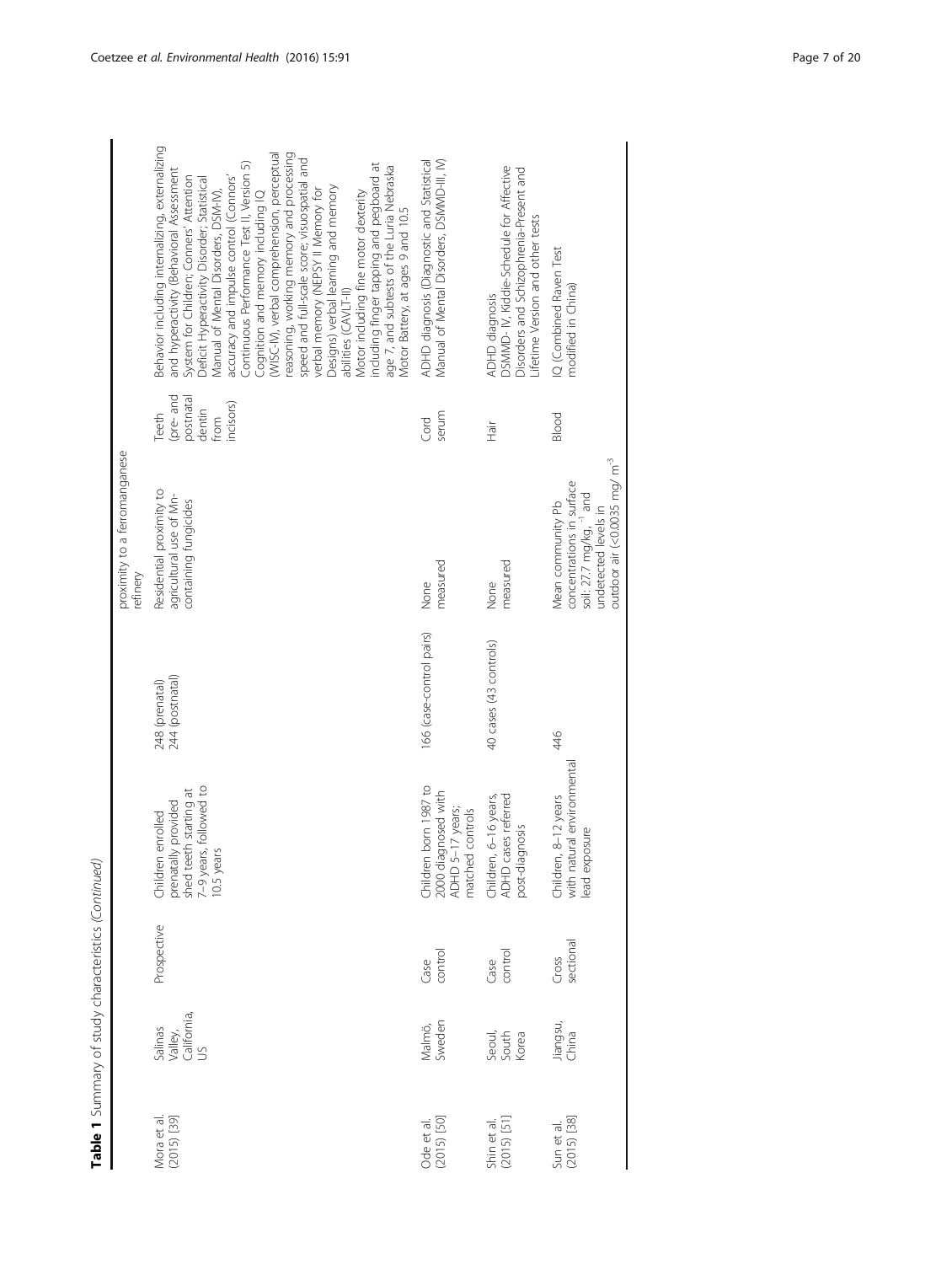|                                          | Behavior including internalizing, externalizing<br>reasoning, working memory and processing<br>(VVISC-IV), verbal comprehension, perceptual<br>speed and full-scale score; visuospatial and<br>Continuous Performance Test II, Version 5)<br>including finger tapping and pegboard at<br>age 7, and subtests of the Luria Nebraska<br>and hyperactivity (Behavioral Assessment<br>System for Children; Conners' Attention<br>accuracy and impulse control (Connors'<br>Deficit Hyperactivity Disorder; Statistical<br>Designs) verbal learning and memory<br>verbal memory (NEPSY II Memory for<br>Manual of Mental Disorders, DSM-IV),<br>Motor including fine motor dexterity<br>Cognition and memory including IQ<br>Vlotor Battery, at ages 9 and 10.5<br>abilities (CAVLT-II) | Manual of Mental Disorders, DSMMD-III, IV)<br>ADHD diagnosis (Diagnostic and Statistical | DSMMD-IV, Kiddie-Schedule for Affective<br>Disorders and Schizophrenia-Present and<br>Lifetime Version and other tests<br><b>ADHD</b> diagnosis | IQ (Combined Raven Test<br>modified in China)                                                                                                                |
|------------------------------------------|------------------------------------------------------------------------------------------------------------------------------------------------------------------------------------------------------------------------------------------------------------------------------------------------------------------------------------------------------------------------------------------------------------------------------------------------------------------------------------------------------------------------------------------------------------------------------------------------------------------------------------------------------------------------------------------------------------------------------------------------------------------------------------|------------------------------------------------------------------------------------------|-------------------------------------------------------------------------------------------------------------------------------------------------|--------------------------------------------------------------------------------------------------------------------------------------------------------------|
|                                          | pre-and<br>postnatal<br>ncisors)<br>dentin<br>Teeth<br>from                                                                                                                                                                                                                                                                                                                                                                                                                                                                                                                                                                                                                                                                                                                        | serum<br>Cord                                                                            | ゴeH                                                                                                                                             | Blood                                                                                                                                                        |
| proximity to a ferromanganese<br>efinery | Residential proximity to<br>agricultural use of Mn-<br>containing fungicides                                                                                                                                                                                                                                                                                                                                                                                                                                                                                                                                                                                                                                                                                                       | measured<br>None                                                                         | measured<br>None                                                                                                                                | outdoor air (< $0.0035$ mg/ m <sup>-3</sup><br>concentrations in surface<br>soil: 27.7 mg/kg, <sup>-1</sup> and<br>Mean community Pb<br>undetected levels in |
|                                          | 244 (postnatal)<br>248 (prenatal)                                                                                                                                                                                                                                                                                                                                                                                                                                                                                                                                                                                                                                                                                                                                                  | 166 (case-control pairs)                                                                 | 40 cases (43 controls)                                                                                                                          | 46                                                                                                                                                           |
|                                          | prenatally provided<br>shed teeth starting at<br>7–9 years, followed to<br>10.5 years<br>Children enrolled                                                                                                                                                                                                                                                                                                                                                                                                                                                                                                                                                                                                                                                                         | Children born 1987 to<br>2000 diagnosed with<br>ADHD 5-17 years;<br>controls<br>matched  | ADHD cases referred<br>6-16 years,<br>post-diagnosis<br>Children,                                                                               | with natural environmenta<br>8-12 years<br>ead exposure<br>Children,                                                                                         |
|                                          | Prospective                                                                                                                                                                                                                                                                                                                                                                                                                                                                                                                                                                                                                                                                                                                                                                        | control<br>Case                                                                          | control<br>Case                                                                                                                                 | sectional<br>Cross                                                                                                                                           |
|                                          | Salinas<br>Valley,<br>California,<br>US                                                                                                                                                                                                                                                                                                                                                                                                                                                                                                                                                                                                                                                                                                                                            | Malmö,<br>Sweden                                                                         | Seoul,<br>South<br>Korea                                                                                                                        | Jiangsu,<br>China                                                                                                                                            |
|                                          | $(2015)$ [39]<br>Mora et al.                                                                                                                                                                                                                                                                                                                                                                                                                                                                                                                                                                                                                                                                                                                                                       | $(2015)$ [50]<br>Ode et al.                                                              | Shin et al.<br>(2015) [51]                                                                                                                      | Sun et al.<br>(2015) [38]                                                                                                                                    |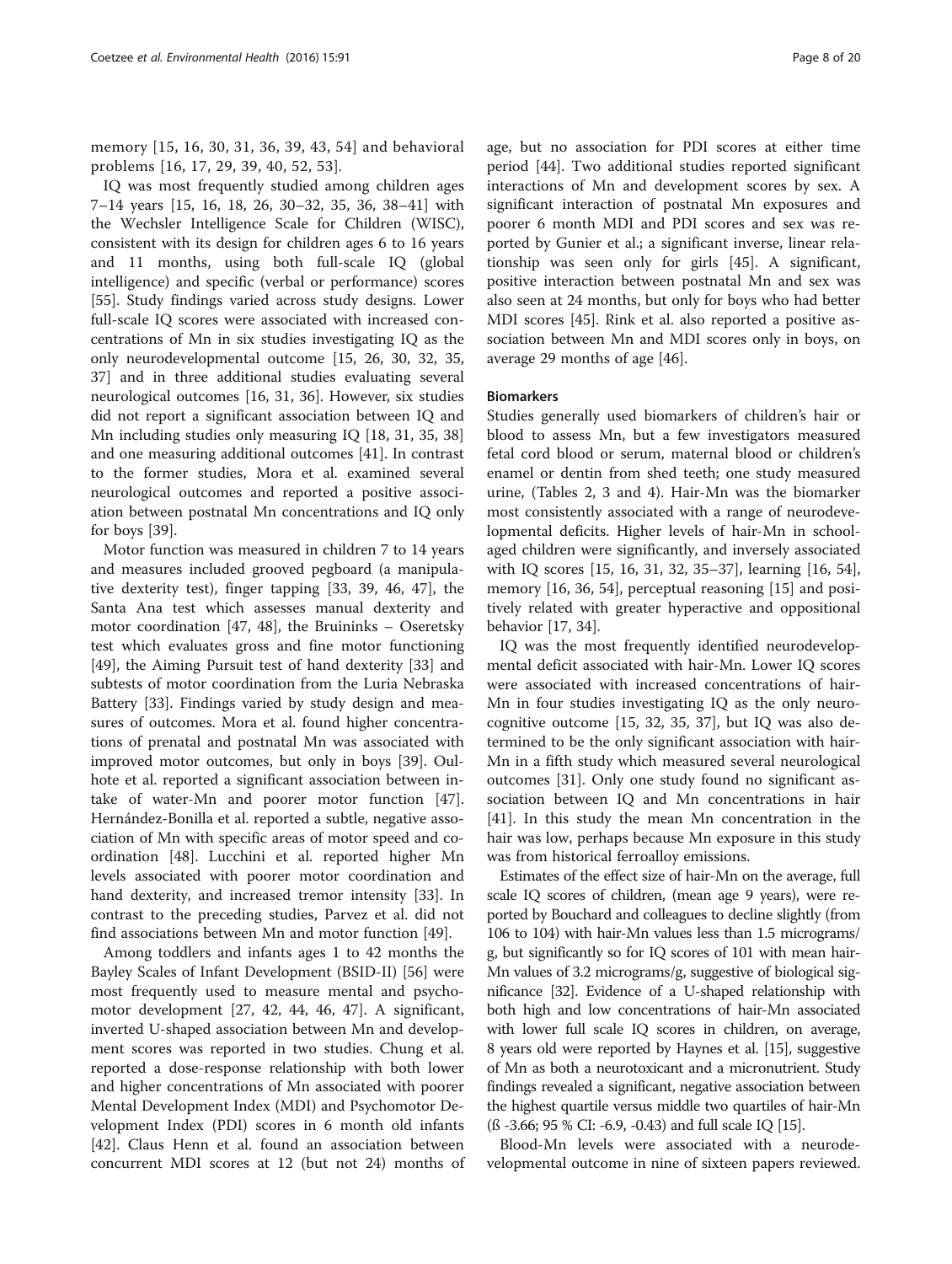memory [[15](#page-18-0), [16](#page-18-0), [30](#page-19-0), [31, 36, 39, 43, 54](#page-19-0)] and behavioral problems [[16, 17,](#page-18-0) [29, 39](#page-19-0), [40](#page-19-0), [52, 53\]](#page-19-0).

IQ was most frequently studied among children ages 7–14 years [[15, 16,](#page-18-0) [18](#page-19-0), [26](#page-19-0), [30](#page-19-0)–[32, 35, 36](#page-19-0), [38](#page-19-0)–[41](#page-19-0)] with the Wechsler Intelligence Scale for Children (WISC), consistent with its design for children ages 6 to 16 years and 11 months, using both full-scale IQ (global intelligence) and specific (verbal or performance) scores [[55\]](#page-19-0). Study findings varied across study designs. Lower full-scale IQ scores were associated with increased concentrations of Mn in six studies investigating IQ as the only neurodevelopmental outcome [\[15](#page-18-0), [26, 30, 32, 35](#page-19-0), [37\]](#page-19-0) and in three additional studies evaluating several neurological outcomes [[16](#page-18-0), [31, 36](#page-19-0)]. However, six studies did not report a significant association between IQ and Mn including studies only measuring IQ [[18, 31, 35](#page-19-0), [38](#page-19-0)] and one measuring additional outcomes [\[41](#page-19-0)]. In contrast to the former studies, Mora et al. examined several neurological outcomes and reported a positive association between postnatal Mn concentrations and IQ only for boys [[39\]](#page-19-0).

Motor function was measured in children 7 to 14 years and measures included grooved pegboard (a manipulative dexterity test), finger tapping [[33, 39](#page-19-0), [46, 47\]](#page-19-0), the Santa Ana test which assesses manual dexterity and motor coordination [\[47, 48\]](#page-19-0), the Bruininks – Oseretsky test which evaluates gross and fine motor functioning [[49\]](#page-19-0), the Aiming Pursuit test of hand dexterity [[33\]](#page-19-0) and subtests of motor coordination from the Luria Nebraska Battery [\[33](#page-19-0)]. Findings varied by study design and measures of outcomes. Mora et al. found higher concentrations of prenatal and postnatal Mn was associated with improved motor outcomes, but only in boys [\[39\]](#page-19-0). Oulhote et al. reported a significant association between intake of water-Mn and poorer motor function [\[47](#page-19-0)]. Hernández-Bonilla et al. reported a subtle, negative association of Mn with specific areas of motor speed and coordination [[48\]](#page-19-0). Lucchini et al. reported higher Mn levels associated with poorer motor coordination and hand dexterity, and increased tremor intensity [\[33\]](#page-19-0). In contrast to the preceding studies, Parvez et al. did not find associations between Mn and motor function [[49\]](#page-19-0).

Among toddlers and infants ages 1 to 42 months the Bayley Scales of Infant Development (BSID-II) [[56\]](#page-19-0) were most frequently used to measure mental and psychomotor development [\[27](#page-19-0), [42](#page-19-0), [44, 46, 47](#page-19-0)]. A significant, inverted U-shaped association between Mn and development scores was reported in two studies. Chung et al. reported a dose-response relationship with both lower and higher concentrations of Mn associated with poorer Mental Development Index (MDI) and Psychomotor Development Index (PDI) scores in 6 month old infants [[42\]](#page-19-0). Claus Henn et al. found an association between concurrent MDI scores at 12 (but not 24) months of

age, but no association for PDI scores at either time period [\[44](#page-19-0)]. Two additional studies reported significant interactions of Mn and development scores by sex. A significant interaction of postnatal Mn exposures and poorer 6 month MDI and PDI scores and sex was reported by Gunier et al.; a significant inverse, linear relationship was seen only for girls [\[45](#page-19-0)]. A significant, positive interaction between postnatal Mn and sex was also seen at 24 months, but only for boys who had better MDI scores [[45\]](#page-19-0). Rink et al. also reported a positive association between Mn and MDI scores only in boys, on average 29 months of age [\[46](#page-19-0)].

#### **Biomarkers**

Studies generally used biomarkers of children's hair or blood to assess Mn, but a few investigators measured fetal cord blood or serum, maternal blood or children's enamel or dentin from shed teeth; one study measured urine, (Tables [2,](#page-8-0) [3](#page-12-0) and [4](#page-15-0)). Hair-Mn was the biomarker most consistently associated with a range of neurodevelopmental deficits. Higher levels of hair-Mn in schoolaged children were significantly, and inversely associated with IQ scores [\[15](#page-18-0), [16](#page-18-0), [31, 32](#page-19-0), [35](#page-19-0)–[37](#page-19-0)], learning [\[16,](#page-18-0) [54](#page-19-0)], memory [[16,](#page-18-0) [36, 54\]](#page-19-0), perceptual reasoning [\[15](#page-18-0)] and positively related with greater hyperactive and oppositional behavior [[17,](#page-18-0) [34\]](#page-19-0).

IQ was the most frequently identified neurodevelopmental deficit associated with hair-Mn. Lower IQ scores were associated with increased concentrations of hair-Mn in four studies investigating IQ as the only neurocognitive outcome [\[15,](#page-18-0) [32, 35, 37](#page-19-0)], but IQ was also determined to be the only significant association with hair-Mn in a fifth study which measured several neurological outcomes [\[31](#page-19-0)]. Only one study found no significant association between IQ and Mn concentrations in hair [[41\]](#page-19-0). In this study the mean Mn concentration in the hair was low, perhaps because Mn exposure in this study was from historical ferroalloy emissions.

Estimates of the effect size of hair-Mn on the average, full scale IQ scores of children, (mean age 9 years), were reported by Bouchard and colleagues to decline slightly (from 106 to 104) with hair-Mn values less than 1.5 micrograms/ g, but significantly so for IQ scores of 101 with mean hair-Mn values of 3.2 micrograms/g, suggestive of biological significance [\[32\]](#page-19-0). Evidence of a U-shaped relationship with both high and low concentrations of hair-Mn associated with lower full scale IQ scores in children, on average, 8 years old were reported by Haynes et al. [\[15\]](#page-18-0), suggestive of Mn as both a neurotoxicant and a micronutrient. Study findings revealed a significant, negative association between the highest quartile versus middle two quartiles of hair-Mn (ß -3.66; 95 % CI: -6.9, -0.43) and full scale IQ [\[15\]](#page-18-0).

Blood-Mn levels were associated with a neurodevelopmental outcome in nine of sixteen papers reviewed.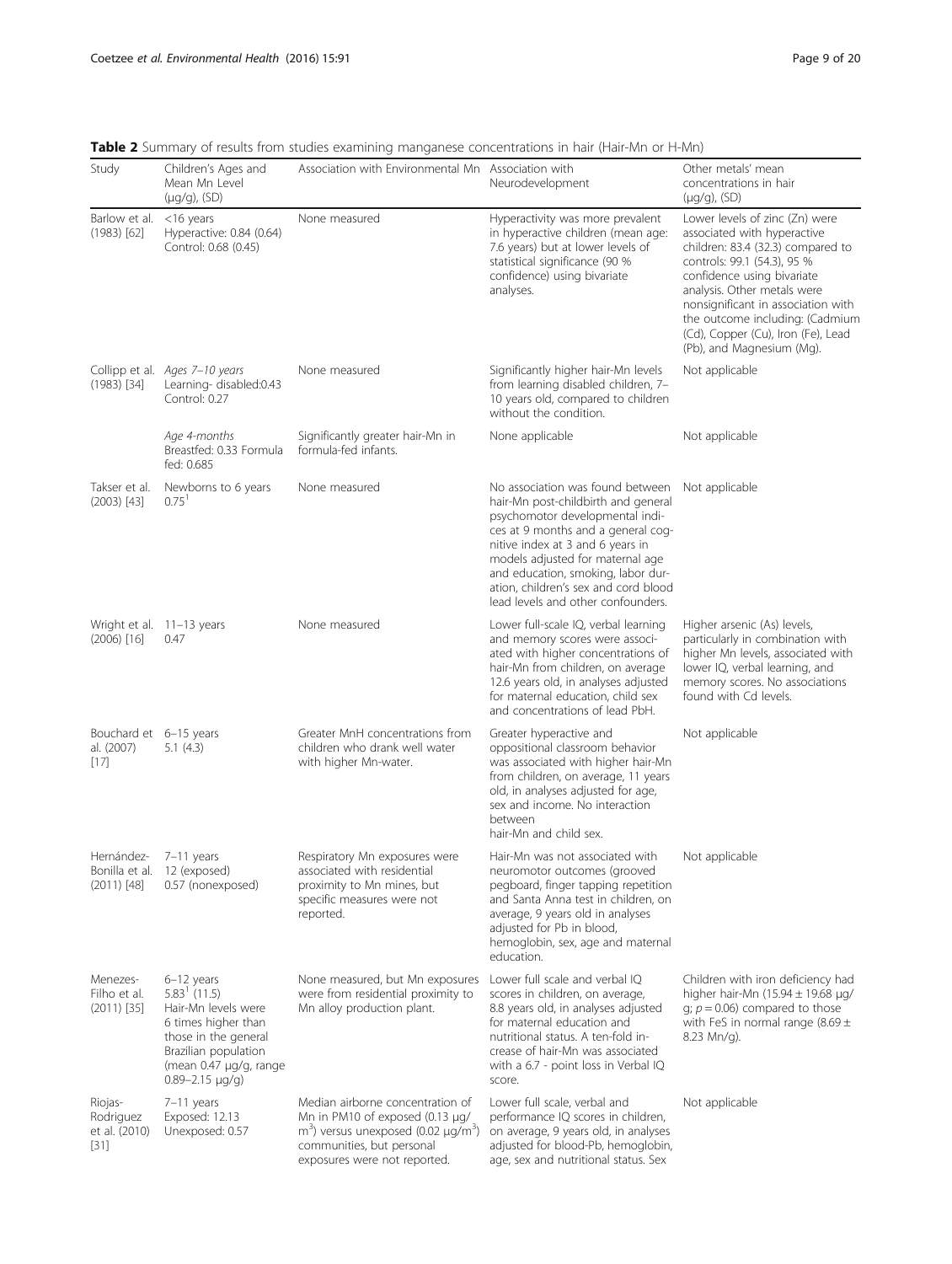| Study                                           | Children's Ages and<br>Mean Mn Level<br>(µg/g), (SD)                                                                                                                                      | Association with Environmental Mn Association with                                                                                                                                            | Neurodevelopment                                                                                                                                                                                                                                                                                                                             | Other metals' mean<br>concentrations in hair<br>$(\mu q/q)$ , $(SD)$                                                                                                                                                                                                                                                                       |
|-------------------------------------------------|-------------------------------------------------------------------------------------------------------------------------------------------------------------------------------------------|-----------------------------------------------------------------------------------------------------------------------------------------------------------------------------------------------|----------------------------------------------------------------------------------------------------------------------------------------------------------------------------------------------------------------------------------------------------------------------------------------------------------------------------------------------|--------------------------------------------------------------------------------------------------------------------------------------------------------------------------------------------------------------------------------------------------------------------------------------------------------------------------------------------|
| Barlow et al. <16 years<br>$(1983)$ [62]        | Hyperactive: 0.84 (0.64)<br>Control: 0.68 (0.45)                                                                                                                                          | None measured                                                                                                                                                                                 | Hyperactivity was more prevalent<br>in hyperactive children (mean age:<br>7.6 years) but at lower levels of<br>statistical significance (90 %<br>confidence) using bivariate<br>analyses.                                                                                                                                                    | Lower levels of zinc (Zn) were<br>associated with hyperactive<br>children: 83.4 (32.3) compared to<br>controls: 99.1 (54.3), 95 %<br>confidence using bivariate<br>analysis. Other metals were<br>nonsignificant in association with<br>the outcome including: (Cadmium<br>(Cd), Copper (Cu), Iron (Fe), Lead<br>(Pb), and Magnesium (Mg). |
| $(1983)$ [34]                                   | Collipp et al. Ages 7-10 years<br>Learning-disabled:0.43<br>Control: 0.27                                                                                                                 | None measured                                                                                                                                                                                 | Significantly higher hair-Mn levels<br>from learning disabled children, 7-<br>10 years old, compared to children<br>without the condition.                                                                                                                                                                                                   | Not applicable                                                                                                                                                                                                                                                                                                                             |
|                                                 | Age 4-months<br>Breastfed: 0.33 Formula<br>fed: 0.685                                                                                                                                     | Significantly greater hair-Mn in<br>formula-fed infants.                                                                                                                                      | None applicable                                                                                                                                                                                                                                                                                                                              | Not applicable                                                                                                                                                                                                                                                                                                                             |
| Takser et al.<br>$(2003)$ [43]                  | Newborns to 6 years<br>0.75                                                                                                                                                               | None measured                                                                                                                                                                                 | No association was found between<br>hair-Mn post-childbirth and general<br>psychomotor developmental indi-<br>ces at 9 months and a general cog-<br>nitive index at 3 and 6 years in<br>models adjusted for maternal age<br>and education, smoking, labor dur-<br>ation, children's sex and cord blood<br>lead levels and other confounders. | Not applicable                                                                                                                                                                                                                                                                                                                             |
| Wright et al. 11-13 years<br>$(2006)$ [16]      | 0.47                                                                                                                                                                                      | None measured                                                                                                                                                                                 | Lower full-scale IQ, verbal learning<br>and memory scores were associ-<br>ated with higher concentrations of<br>hair-Mn from children, on average<br>12.6 years old, in analyses adjusted<br>for maternal education, child sex<br>and concentrations of lead PbH.                                                                            | Higher arsenic (As) levels,<br>particularly in combination with<br>higher Mn levels, associated with<br>lower IQ, verbal learning, and<br>memory scores. No associations<br>found with Cd levels.                                                                                                                                          |
| Bouchard et 6-15 years<br>al. (2007)<br>[17]    | 5.1(4.3)                                                                                                                                                                                  | Greater MnH concentrations from<br>children who drank well water<br>with higher Mn-water.                                                                                                     | Greater hyperactive and<br>oppositional classroom behavior<br>was associated with higher hair-Mn<br>from children, on average, 11 years<br>old, in analyses adjusted for age,<br>sex and income. No interaction<br>between<br>hair-Mn and child sex.                                                                                         | Not applicable                                                                                                                                                                                                                                                                                                                             |
| Hernández- 7-11 years<br>$(2011)$ [48]          | Bonilla et al. 12 (exposed)<br>0.57 (nonexposed)                                                                                                                                          | Respiratory Mn exposures were<br>associated with residential<br>proximity to Mn mines, but<br>specific measures were not<br>reported.                                                         | Hair-Mn was not associated with<br>neuromotor outcomes (grooved<br>pegboard, finger tapping repetition<br>and Santa Anna test in children, on<br>average, 9 years old in analyses<br>adjusted for Pb in blood,<br>hemoglobin, sex, age and maternal<br>education.                                                                            | Not applicable                                                                                                                                                                                                                                                                                                                             |
| Menezes-<br>Filho et al.<br>$(2011)$ [35]       | 6–12 years<br>$5.83^{\mathrm{T}}$ (11.5)<br>Hair-Mn levels were<br>6 times higher than<br>those in the general<br>Brazilian population<br>(mean 0.47 µg/g, range<br>$0.89 - 2.15 \mu q/q$ | None measured, but Mn exposures<br>were from residential proximity to<br>Mn alloy production plant.                                                                                           | Lower full scale and verbal IQ<br>scores in children, on average,<br>8.8 years old, in analyses adjusted<br>for maternal education and<br>nutritional status. A ten-fold in-<br>crease of hair-Mn was associated<br>with a 6.7 - point loss in Verbal IQ<br>score.                                                                           | Children with iron deficiency had<br>higher hair-Mn $(15.94 \pm 19.68 \text{ µg}$ /<br>g; $p = 0.06$ ) compared to those<br>with FeS in normal range (8.69 $\pm$<br>$8.23$ Mn/g).                                                                                                                                                          |
| Riojas-<br>Rodriguez<br>et al. (2010)<br>$[31]$ | 7-11 years<br>Exposed: 12.13<br>Unexposed: 0.57                                                                                                                                           | Median airborne concentration of<br>Mn in PM10 of exposed (0.13 µg/<br>$\text{m}^3$ ) versus unexposed (0.02 µg/m <sup>3</sup> )<br>communities, but personal<br>exposures were not reported. | Lower full scale, verbal and<br>performance IQ scores in children,<br>on average, 9 years old, in analyses<br>adjusted for blood-Pb, hemoglobin,<br>age, sex and nutritional status. Sex                                                                                                                                                     | Not applicable                                                                                                                                                                                                                                                                                                                             |

<span id="page-8-0"></span>Table 2 Summary of results from studies examining manganese concentrations in hair (Hair-Mn or H-Mn)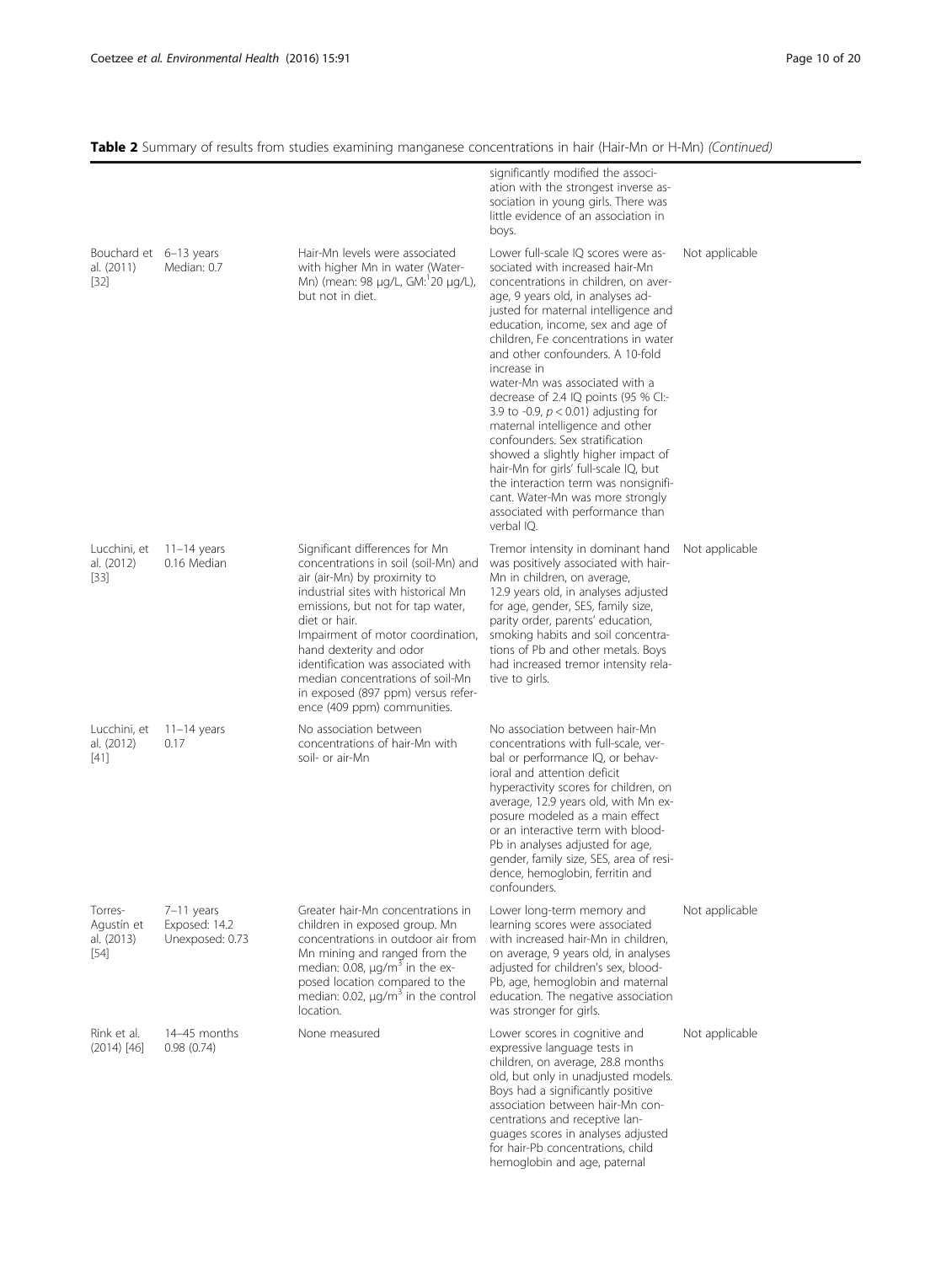#### Table 2 Summary of results from studies examining manganese concentrations in hair (Hair-Mn or H-Mn) (Continued)

|                                                |                                                |                                                                                                                                                                                                                                                                                                                                                                                                                    | significantly modified the associ-<br>ation with the strongest inverse as-<br>sociation in young girls. There was<br>little evidence of an association in<br>boys.                                                                                                                                                                                                                                                                                                                                                                                                                                                                                                                                                                  |                |
|------------------------------------------------|------------------------------------------------|--------------------------------------------------------------------------------------------------------------------------------------------------------------------------------------------------------------------------------------------------------------------------------------------------------------------------------------------------------------------------------------------------------------------|-------------------------------------------------------------------------------------------------------------------------------------------------------------------------------------------------------------------------------------------------------------------------------------------------------------------------------------------------------------------------------------------------------------------------------------------------------------------------------------------------------------------------------------------------------------------------------------------------------------------------------------------------------------------------------------------------------------------------------------|----------------|
| Bouchard et 6-13 years<br>al. (2011)<br>$[32]$ | Median: 0.7                                    | Hair-Mn levels were associated<br>with higher Mn in water (Water-<br>Mn) (mean: 98 µg/L, GM: 20 µg/L),<br>but not in diet.                                                                                                                                                                                                                                                                                         | Lower full-scale IQ scores were as-<br>sociated with increased hair-Mn<br>concentrations in children, on aver-<br>age, 9 years old, in analyses ad-<br>justed for maternal intelligence and<br>education, income, sex and age of<br>children, Fe concentrations in water<br>and other confounders. A 10-fold<br>increase in<br>water-Mn was associated with a<br>decrease of 2.4 IQ points (95 % CI:-<br>3.9 to -0.9, $p < 0.01$ ) adjusting for<br>maternal intelligence and other<br>confounders. Sex stratification<br>showed a slightly higher impact of<br>hair-Mn for girls' full-scale IQ, but<br>the interaction term was nonsignifi-<br>cant. Water-Mn was more strongly<br>associated with performance than<br>verbal IQ. | Not applicable |
| Lucchini, et<br>al. (2012)<br>$[33]$           | $11-14$ years<br>0.16 Median                   | Significant differences for Mn<br>concentrations in soil (soil-Mn) and<br>air (air-Mn) by proximity to<br>industrial sites with historical Mn<br>emissions, but not for tap water,<br>diet or hair.<br>Impairment of motor coordination,<br>hand dexterity and odor<br>identification was associated with<br>median concentrations of soil-Mn<br>in exposed (897 ppm) versus refer-<br>ence (409 ppm) communities. | Tremor intensity in dominant hand<br>was positively associated with hair-<br>Mn in children, on average,<br>12.9 years old, in analyses adjusted<br>for age, gender, SES, family size,<br>parity order, parents' education,<br>smoking habits and soil concentra-<br>tions of Pb and other metals. Boys<br>had increased tremor intensity rela-<br>tive to girls.                                                                                                                                                                                                                                                                                                                                                                   | Not applicable |
| Lucchini, et<br>al. (2012)<br>$[41]$           | $11-14$ years<br>0.17                          | No association between<br>concentrations of hair-Mn with<br>soil- or air-Mn                                                                                                                                                                                                                                                                                                                                        | No association between hair-Mn<br>concentrations with full-scale, ver-<br>bal or performance IQ, or behav-<br>joral and attention deficit<br>hyperactivity scores for children, on<br>average, 12.9 years old, with Mn ex-<br>posure modeled as a main effect<br>or an interactive term with blood-<br>Pb in analyses adjusted for age,<br>gender, family size, SES, area of resi-<br>dence, hemoglobin, ferritin and<br>confounders.                                                                                                                                                                                                                                                                                               |                |
| Torres-<br>Agustín et<br>al. (2013)<br>$[54]$  | 7-11 years<br>Exposed: 14.2<br>Unexposed: 0.73 | Greater hair-Mn concentrations in<br>children in exposed group. Mn<br>concentrations in outdoor air from<br>Mn mining and ranged from the<br>median: 0.08, $\mu g/m^3$ in the ex-<br>posed location compared to the<br>median: 0.02, $\mu g/m^3$ in the control<br>location.                                                                                                                                       | Lower long-term memory and<br>learning scores were associated<br>with increased hair-Mn in children,<br>on average, 9 years old, in analyses<br>adjusted for children's sex, blood-<br>Pb, age, hemoglobin and maternal<br>education. The negative association<br>was stronger for girls.                                                                                                                                                                                                                                                                                                                                                                                                                                           | Not applicable |
| Rink et al.<br>$(2014)$ [46]                   | 14-45 months<br>0.98(0.74)                     | None measured                                                                                                                                                                                                                                                                                                                                                                                                      | Lower scores in cognitive and<br>expressive language tests in<br>children, on average, 28.8 months<br>old, but only in unadjusted models.<br>Boys had a significantly positive<br>association between hair-Mn con-<br>centrations and receptive lan-<br>guages scores in analyses adjusted<br>for hair-Pb concentrations, child                                                                                                                                                                                                                                                                                                                                                                                                     | Not applicable |

hemoglobin and age, paternal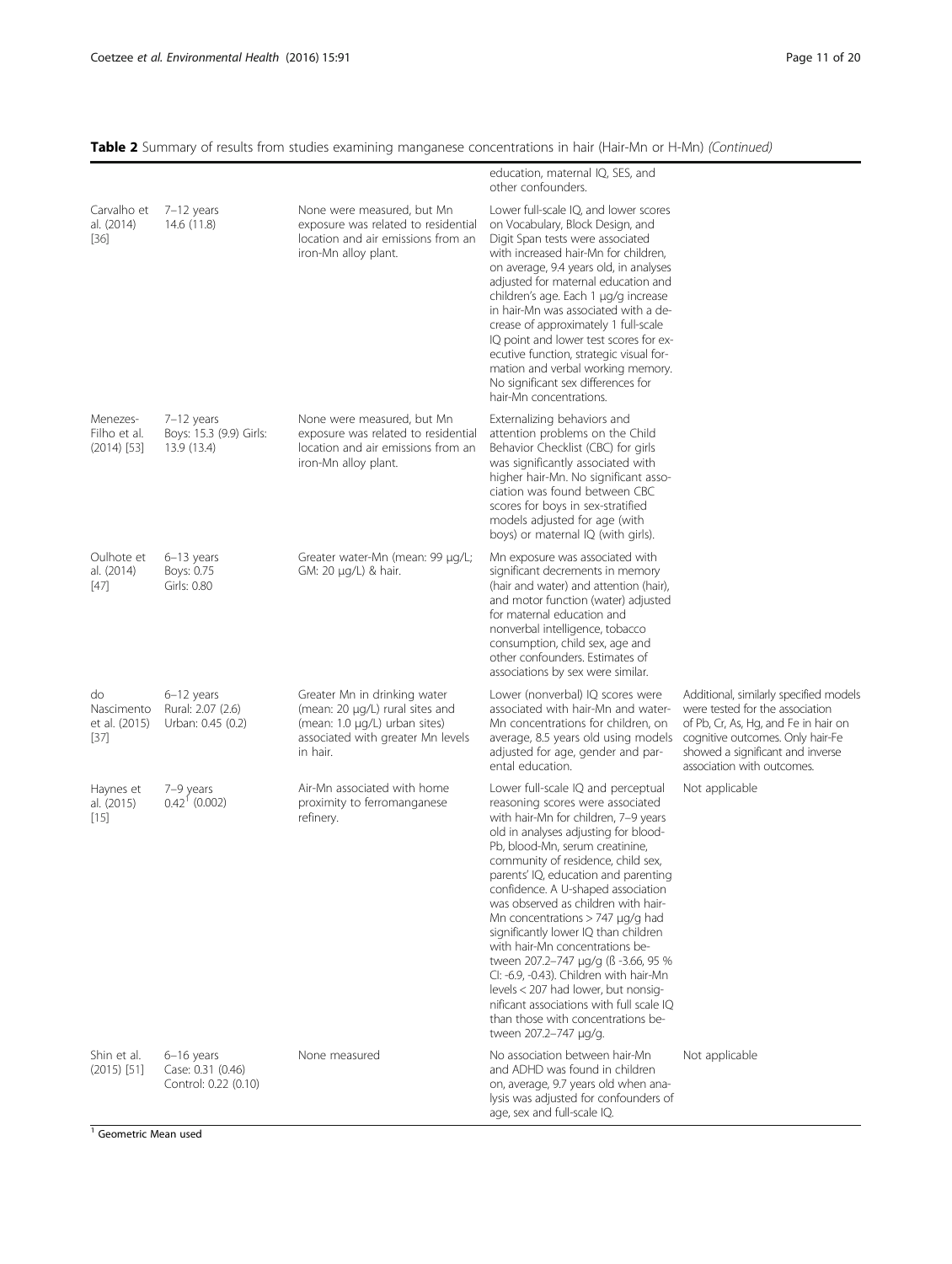### Table 2 Summary of results from studies examining manganese concentrations in hair (Hair-Mn or H-Mn) (Continued)

|                                           |                                                         |                                                                                                                                                   | education, maternal IQ, SES, and<br>other confounders.                                                                                                                                                                                                                                                                                                                                                                                                                                                                                                                                                                                                                                                    |                                                                                                                                                                                                                         |
|-------------------------------------------|---------------------------------------------------------|---------------------------------------------------------------------------------------------------------------------------------------------------|-----------------------------------------------------------------------------------------------------------------------------------------------------------------------------------------------------------------------------------------------------------------------------------------------------------------------------------------------------------------------------------------------------------------------------------------------------------------------------------------------------------------------------------------------------------------------------------------------------------------------------------------------------------------------------------------------------------|-------------------------------------------------------------------------------------------------------------------------------------------------------------------------------------------------------------------------|
| Carvalho et<br>al. (2014)<br>$[36]$       | 7-12 years<br>14.6 (11.8)                               | None were measured, but Mn<br>exposure was related to residential<br>location and air emissions from an<br>iron-Mn alloy plant.                   | Lower full-scale IQ, and lower scores<br>on Vocabulary, Block Design, and<br>Digit Span tests were associated<br>with increased hair-Mn for children,<br>on average, 9.4 years old, in analyses<br>adjusted for maternal education and<br>children's age. Each 1 µg/g increase<br>in hair-Mn was associated with a de-<br>crease of approximately 1 full-scale<br>IQ point and lower test scores for ex-<br>ecutive function, strategic visual for-<br>mation and verbal working memory.<br>No significant sex differences for<br>hair-Mn concentrations.                                                                                                                                                 |                                                                                                                                                                                                                         |
| Menezes-<br>Filho et al.<br>$(2014)$ [53] | 7-12 years<br>Boys: 15.3 (9.9) Girls:<br>13.9 (13.4)    | None were measured, but Mn<br>exposure was related to residential<br>location and air emissions from an<br>iron-Mn alloy plant.                   | Externalizing behaviors and<br>attention problems on the Child<br>Behavior Checklist (CBC) for girls<br>was significantly associated with<br>higher hair-Mn. No significant asso-<br>ciation was found between CBC<br>scores for boys in sex-stratified<br>models adjusted for age (with<br>boys) or maternal IQ (with girls).                                                                                                                                                                                                                                                                                                                                                                            |                                                                                                                                                                                                                         |
| Oulhote et<br>al. (2014)<br>$[47]$        | $6-13$ years<br>Boys: 0.75<br>Girls: 0.80               | Greater water-Mn (mean: 99 µg/L;<br>GM: 20 µg/L) & hair.                                                                                          | Mn exposure was associated with<br>significant decrements in memory<br>(hair and water) and attention (hair),<br>and motor function (water) adjusted<br>for maternal education and<br>nonverbal intelligence, tobacco<br>consumption, child sex, age and<br>other confounders. Estimates of<br>associations by sex were similar.                                                                                                                                                                                                                                                                                                                                                                          |                                                                                                                                                                                                                         |
| do<br>Nascimento<br>et al. (2015)<br>[37] | $6-12$ years<br>Rural: 2.07 (2.6)<br>Urban: 0.45 (0.2)  | Greater Mn in drinking water<br>(mean: 20 µg/L) rural sites and<br>(mean: 1.0 µg/L) urban sites)<br>associated with greater Mn levels<br>in hair. | Lower (nonverbal) IQ scores were<br>associated with hair-Mn and water-<br>Mn concentrations for children, on<br>average, 8.5 years old using models<br>adjusted for age, gender and par-<br>ental education.                                                                                                                                                                                                                                                                                                                                                                                                                                                                                              | Additional, similarly specified models<br>were tested for the association<br>of Pb, Cr, As, Hg, and Fe in hair on<br>cognitive outcomes. Only hair-Fe<br>showed a significant and inverse<br>association with outcomes. |
| Haynes et<br>al. (2015)<br>$[15]$         | 7-9 years<br>$0.42^{\mathrm{T}}$ (0.002)                | Air-Mn associated with home<br>proximity to ferromanganese<br>refinery.                                                                           | Lower full-scale IQ and perceptual<br>reasoning scores were associated<br>with hair-Mn for children, 7-9 years<br>old in analyses adjusting for blood-<br>Pb, blood-Mn, serum creatinine,<br>community of residence, child sex,<br>parents' IQ, education and parenting<br>confidence. A U-shaped association<br>was observed as children with hair-<br>Mn concentrations $> 747$ µg/g had<br>significantly lower IQ than children<br>with hair-Mn concentrations be-<br>tween 207.2-747 µg/g (ß -3.66, 95 %<br>CI: -6.9, -0.43). Children with hair-Mn<br>levels < 207 had lower, but nonsig-<br>nificant associations with full scale IQ<br>than those with concentrations be-<br>tween 207.2-747 µg/g. | Not applicable                                                                                                                                                                                                          |
| Shin et al.<br>$(2015)$ [51]              | 6-16 years<br>Case: 0.31 (0.46)<br>Control: 0.22 (0.10) | None measured                                                                                                                                     | No association between hair-Mn<br>and ADHD was found in children<br>on, average, 9.7 years old when ana-<br>lysis was adjusted for confounders of<br>age, sex and full-scale IQ.                                                                                                                                                                                                                                                                                                                                                                                                                                                                                                                          | Not applicable                                                                                                                                                                                                          |

<sup>1</sup> Geometric Mean used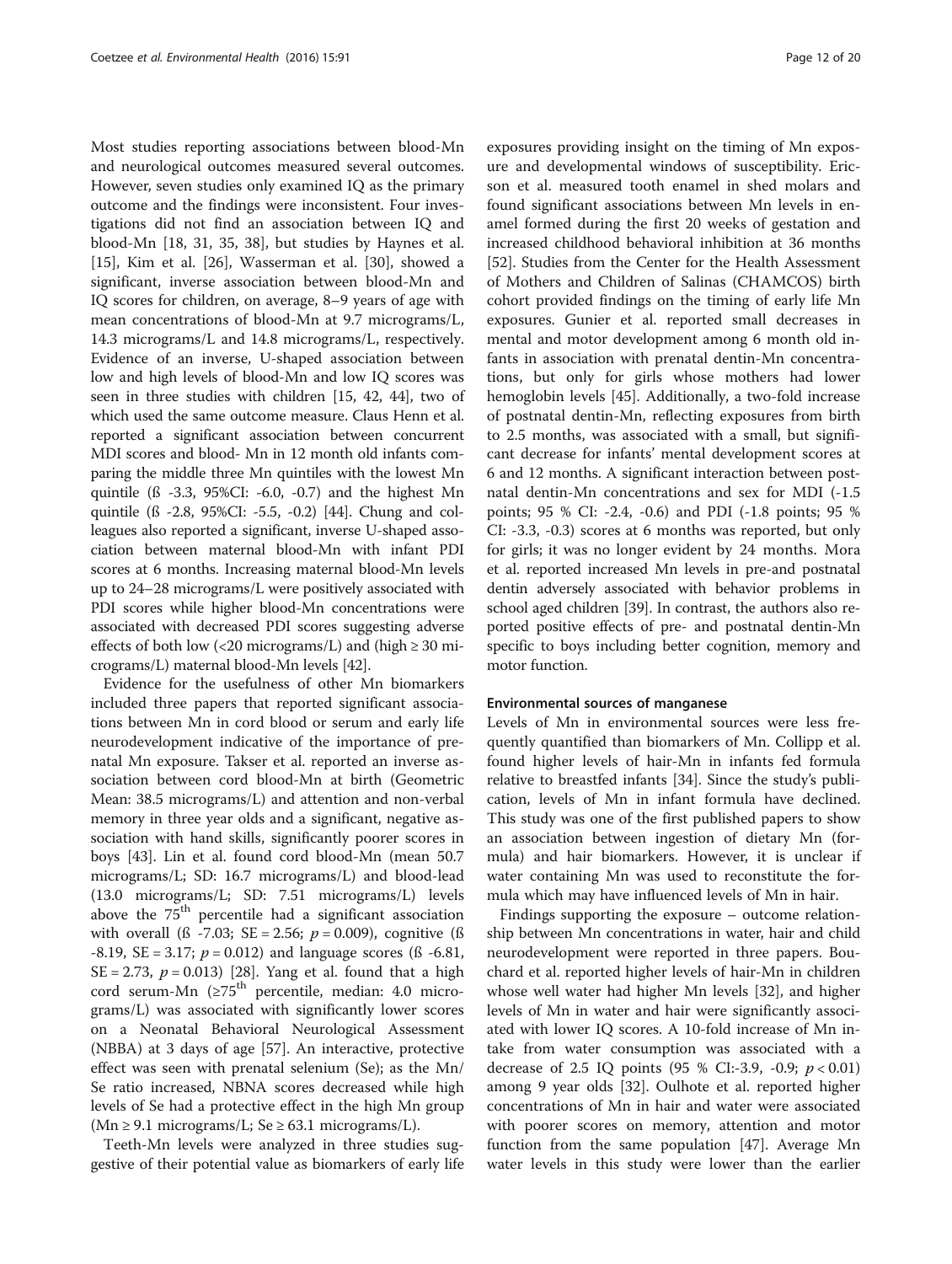Most studies reporting associations between blood-Mn and neurological outcomes measured several outcomes. However, seven studies only examined IQ as the primary outcome and the findings were inconsistent. Four investigations did not find an association between IQ and blood-Mn [\[18, 31, 35, 38\]](#page-19-0), but studies by Haynes et al. [[15\]](#page-18-0), Kim et al. [\[26](#page-19-0)], Wasserman et al. [\[30](#page-19-0)], showed a significant, inverse association between blood-Mn and IQ scores for children, on average, 8–9 years of age with mean concentrations of blood-Mn at 9.7 micrograms/L, 14.3 micrograms/L and 14.8 micrograms/L, respectively. Evidence of an inverse, U-shaped association between low and high levels of blood-Mn and low IQ scores was seen in three studies with children [\[15,](#page-18-0) [42](#page-19-0), [44](#page-19-0)], two of which used the same outcome measure. Claus Henn et al. reported a significant association between concurrent MDI scores and blood- Mn in 12 month old infants comparing the middle three Mn quintiles with the lowest Mn quintile (ß -3.3, 95%CI: -6.0, -0.7) and the highest Mn quintile (ß -2.8, 95%CI: -5.5, -0.2) [[44](#page-19-0)]. Chung and colleagues also reported a significant, inverse U-shaped association between maternal blood-Mn with infant PDI scores at 6 months. Increasing maternal blood-Mn levels up to 24–28 micrograms/L were positively associated with PDI scores while higher blood-Mn concentrations were associated with decreased PDI scores suggesting adverse effects of both low (<20 micrograms/L) and (high  $\geq$  30 micrograms/L) maternal blood-Mn levels [\[42\]](#page-19-0).

Evidence for the usefulness of other Mn biomarkers included three papers that reported significant associations between Mn in cord blood or serum and early life neurodevelopment indicative of the importance of prenatal Mn exposure. Takser et al. reported an inverse association between cord blood-Mn at birth (Geometric Mean: 38.5 micrograms/L) and attention and non-verbal memory in three year olds and a significant, negative association with hand skills, significantly poorer scores in boys [[43\]](#page-19-0). Lin et al. found cord blood-Mn (mean 50.7 micrograms/L; SD: 16.7 micrograms/L) and blood-lead (13.0 micrograms/L; SD: 7.51 micrograms/L) levels above the  $75<sup>th</sup>$  percentile had a significant association with overall ( $\beta$  -7.03; SE = 2.56;  $p = 0.009$ ), cognitive ( $\beta$  $-8.19$ , SE = 3.17;  $p = 0.012$ ) and language scores (ß  $-6.81$ ,  $SE = 2.73$ ,  $p = 0.013$  [\[28\]](#page-19-0). Yang et al. found that a high cord serum-Mn ( $\geq 75^{\text{th}}$  percentile, median: 4.0 micrograms/L) was associated with significantly lower scores on a Neonatal Behavioral Neurological Assessment (NBBA) at 3 days of age [\[57](#page-19-0)]. An interactive, protective effect was seen with prenatal selenium (Se); as the Mn/ Se ratio increased, NBNA scores decreased while high levels of Se had a protective effect in the high Mn group  $(Mn \geq 9.1 \text{ micrograms/L}; Se \geq 63.1 \text{ micrograms/L}.$ 

Teeth-Mn levels were analyzed in three studies suggestive of their potential value as biomarkers of early life

exposures providing insight on the timing of Mn exposure and developmental windows of susceptibility. Ericson et al. measured tooth enamel in shed molars and found significant associations between Mn levels in enamel formed during the first 20 weeks of gestation and increased childhood behavioral inhibition at 36 months [[52\]](#page-19-0). Studies from the Center for the Health Assessment of Mothers and Children of Salinas (CHAMCOS) birth cohort provided findings on the timing of early life Mn exposures. Gunier et al. reported small decreases in mental and motor development among 6 month old infants in association with prenatal dentin-Mn concentrations, but only for girls whose mothers had lower hemoglobin levels [[45](#page-19-0)]. Additionally, a two-fold increase of postnatal dentin-Mn, reflecting exposures from birth to 2.5 months, was associated with a small, but significant decrease for infants' mental development scores at 6 and 12 months. A significant interaction between postnatal dentin-Mn concentrations and sex for MDI (-1.5 points; 95 % CI: -2.4, -0.6) and PDI (-1.8 points; 95 % CI: -3.3, -0.3) scores at 6 months was reported, but only for girls; it was no longer evident by 24 months. Mora et al. reported increased Mn levels in pre-and postnatal dentin adversely associated with behavior problems in school aged children [\[39](#page-19-0)]. In contrast, the authors also reported positive effects of pre- and postnatal dentin-Mn specific to boys including better cognition, memory and motor function.

#### Environmental sources of manganese

Levels of Mn in environmental sources were less frequently quantified than biomarkers of Mn. Collipp et al. found higher levels of hair-Mn in infants fed formula relative to breastfed infants [\[34\]](#page-19-0). Since the study's publication, levels of Mn in infant formula have declined. This study was one of the first published papers to show an association between ingestion of dietary Mn (formula) and hair biomarkers. However, it is unclear if water containing Mn was used to reconstitute the formula which may have influenced levels of Mn in hair.

Findings supporting the exposure – outcome relationship between Mn concentrations in water, hair and child neurodevelopment were reported in three papers. Bouchard et al. reported higher levels of hair-Mn in children whose well water had higher Mn levels [\[32\]](#page-19-0), and higher levels of Mn in water and hair were significantly associated with lower IQ scores. A 10-fold increase of Mn intake from water consumption was associated with a decrease of 2.5 IQ points (95 % CI:-3.9, -0.9;  $p < 0.01$ ) among 9 year olds [\[32\]](#page-19-0). Oulhote et al. reported higher concentrations of Mn in hair and water were associated with poorer scores on memory, attention and motor function from the same population [[47\]](#page-19-0). Average Mn water levels in this study were lower than the earlier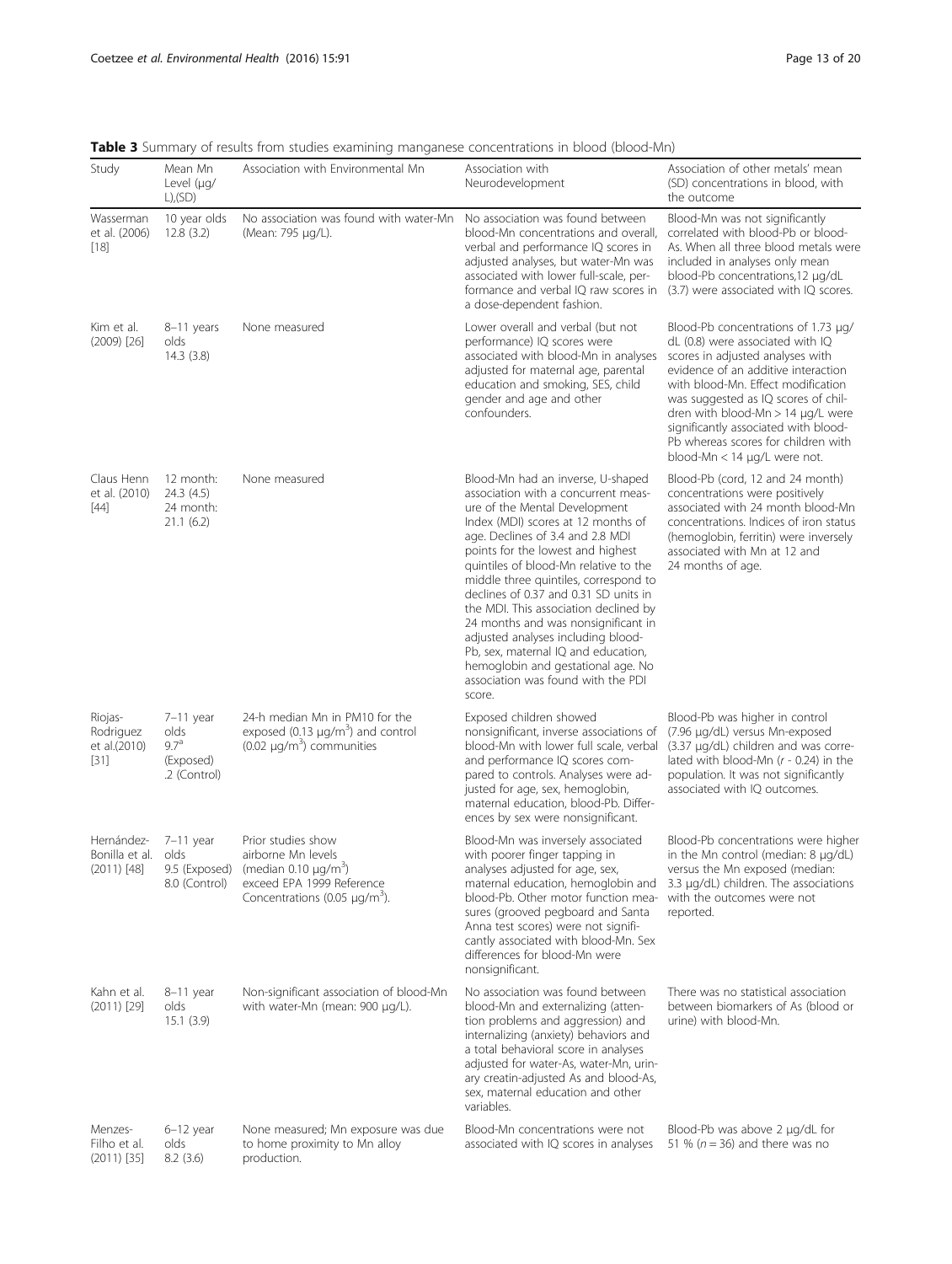| Study                                              | Mean Mn<br>Level (µg/<br>$L)$ , (SD)                                 | Association with Environmental Mn                                                                                                                     | Association with<br>Neurodevelopment                                                                                                                                                                                                                                                                                                                                                                                                                                                                                                                                                                   | Association of other metals' mean<br>(SD) concentrations in blood, with<br>the outcome                                                                                                                                                                                                                                                                                                     |
|----------------------------------------------------|----------------------------------------------------------------------|-------------------------------------------------------------------------------------------------------------------------------------------------------|--------------------------------------------------------------------------------------------------------------------------------------------------------------------------------------------------------------------------------------------------------------------------------------------------------------------------------------------------------------------------------------------------------------------------------------------------------------------------------------------------------------------------------------------------------------------------------------------------------|--------------------------------------------------------------------------------------------------------------------------------------------------------------------------------------------------------------------------------------------------------------------------------------------------------------------------------------------------------------------------------------------|
| Wasserman<br>et al. (2006)<br>$[18]$               | 10 year olds<br>12.8(3.2)                                            | No association was found with water-Mn<br>(Mean: 795 µg/L).                                                                                           | No association was found between<br>blood-Mn concentrations and overall,<br>verbal and performance IQ scores in<br>adjusted analyses, but water-Mn was<br>associated with lower full-scale, per-<br>formance and verbal IQ raw scores in<br>a dose-dependent fashion.                                                                                                                                                                                                                                                                                                                                  | Blood-Mn was not significantly<br>correlated with blood-Pb or blood-<br>As. When all three blood metals were<br>included in analyses only mean<br>blood-Pb concentrations, 12 µg/dL<br>(3.7) were associated with IQ scores.                                                                                                                                                               |
| Kim et al.<br>$(2009)$ $[26]$                      | 8-11 years<br>olds<br>14.3(3.8)                                      | None measured                                                                                                                                         | Lower overall and verbal (but not<br>performance) IQ scores were<br>associated with blood-Mn in analyses<br>adjusted for maternal age, parental<br>education and smoking, SES, child<br>gender and age and other<br>confounders.                                                                                                                                                                                                                                                                                                                                                                       | Blood-Pb concentrations of 1.73 µg/<br>dL (0.8) were associated with IQ<br>scores in adjusted analyses with<br>evidence of an additive interaction<br>with blood-Mn. Effect modification<br>was suggested as IQ scores of chil-<br>dren with blood-Mn $>$ 14 $\mu$ g/L were<br>significantly associated with blood-<br>Pb whereas scores for children with<br>blood-Mn < 14 µg/L were not. |
| Claus Henn<br>et al. (2010)<br>$[44]$              | 12 month:<br>24.3(4.5)<br>24 month:<br>21.1(6.2)                     | None measured                                                                                                                                         | Blood-Mn had an inverse, U-shaped<br>association with a concurrent meas-<br>ure of the Mental Development<br>Index (MDI) scores at 12 months of<br>age. Declines of 3.4 and 2.8 MDI<br>points for the lowest and highest<br>quintiles of blood-Mn relative to the<br>middle three quintiles, correspond to<br>declines of 0.37 and 0.31 SD units in<br>the MDI. This association declined by<br>24 months and was nonsignificant in<br>adjusted analyses including blood-<br>Pb, sex, maternal IQ and education,<br>hemoglobin and gestational age. No<br>association was found with the PDI<br>score. | Blood-Pb (cord, 12 and 24 month)<br>concentrations were positively<br>associated with 24 month blood-Mn<br>concentrations. Indices of iron status<br>(hemoglobin, ferritin) were inversely<br>associated with Mn at 12 and<br>24 months of age.                                                                                                                                            |
| Riojas-<br>Rodriguez<br>et al.(2010)<br>$[31]$     | $7-11$ year<br>olds<br>9.7 <sup>a</sup><br>(Exposed)<br>.2 (Control) | 24-h median Mn in PM10 for the<br>exposed (0.13 $\mu$ g/m <sup>3</sup> ) and control<br>$(0.02 \mu g/m^3)$ communities                                | Exposed children showed<br>nonsignificant, inverse associations of<br>blood-Mn with lower full scale, verbal<br>and performance IQ scores com-<br>pared to controls. Analyses were ad-<br>justed for age, sex, hemoglobin,<br>maternal education, blood-Pb. Differ-<br>ences by sex were nonsignificant.                                                                                                                                                                                                                                                                                               | Blood-Pb was higher in control<br>(7.96 µg/dL) versus Mn-exposed<br>(3.37 µg/dL) children and was corre-<br>lated with blood-Mn $(r - 0.24)$ in the<br>population. It was not significantly<br>associated with IQ outcomes.                                                                                                                                                                |
| Hernández-<br>Bonilla et al. olds<br>$(2011)$ [48] | $7-11$ year<br>9.5 (Exposed)<br>8.0 (Control)                        | Prior studies show<br>airborne Mn levels<br>(median $0.10 \mu g/m^3$ )<br>exceed EPA 1999 Reference<br>Concentrations (0.05 $\mu$ g/m <sup>3</sup> ). | Blood-Mn was inversely associated<br>with poorer finger tapping in<br>analyses adjusted for age, sex,<br>maternal education, hemoglobin and<br>blood-Pb. Other motor function mea-<br>sures (grooved pegboard and Santa<br>Anna test scores) were not signifi-<br>cantly associated with blood-Mn. Sex<br>differences for blood-Mn were<br>nonsignificant.                                                                                                                                                                                                                                             | Blood-Pb concentrations were higher<br>in the Mn control (median: $8 \mu q/dL$ )<br>versus the Mn exposed (median:<br>3.3 µg/dL) children. The associations<br>with the outcomes were not<br>reported.                                                                                                                                                                                     |
| Kahn et al.<br>$(2011)$ [29]                       | 8-11 year<br>olds<br>15.1(3.9)                                       | Non-significant association of blood-Mn<br>with water-Mn (mean: 900 µg/L).                                                                            | No association was found between<br>blood-Mn and externalizing (atten-<br>tion problems and aggression) and<br>internalizing (anxiety) behaviors and<br>a total behavioral score in analyses<br>adjusted for water-As, water-Mn, urin-<br>ary creatin-adjusted As and blood-As,<br>sex, maternal education and other<br>variables.                                                                                                                                                                                                                                                                     | There was no statistical association<br>between biomarkers of As (blood or<br>urine) with blood-Mn.                                                                                                                                                                                                                                                                                        |
| Menzes-<br>Filho et al.<br>$(2011)$ [35]           | $6-12$ year<br>olds<br>8.2(3.6)                                      | None measured; Mn exposure was due<br>to home proximity to Mn alloy<br>production.                                                                    | Blood-Mn concentrations were not<br>associated with IQ scores in analyses                                                                                                                                                                                                                                                                                                                                                                                                                                                                                                                              | Blood-Pb was above 2 µg/dL for<br>51 % ( $n = 36$ ) and there was no                                                                                                                                                                                                                                                                                                                       |

<span id="page-12-0"></span>Table 3 Summary of results from studies examining manganese concentrations in blood (blood-Mn)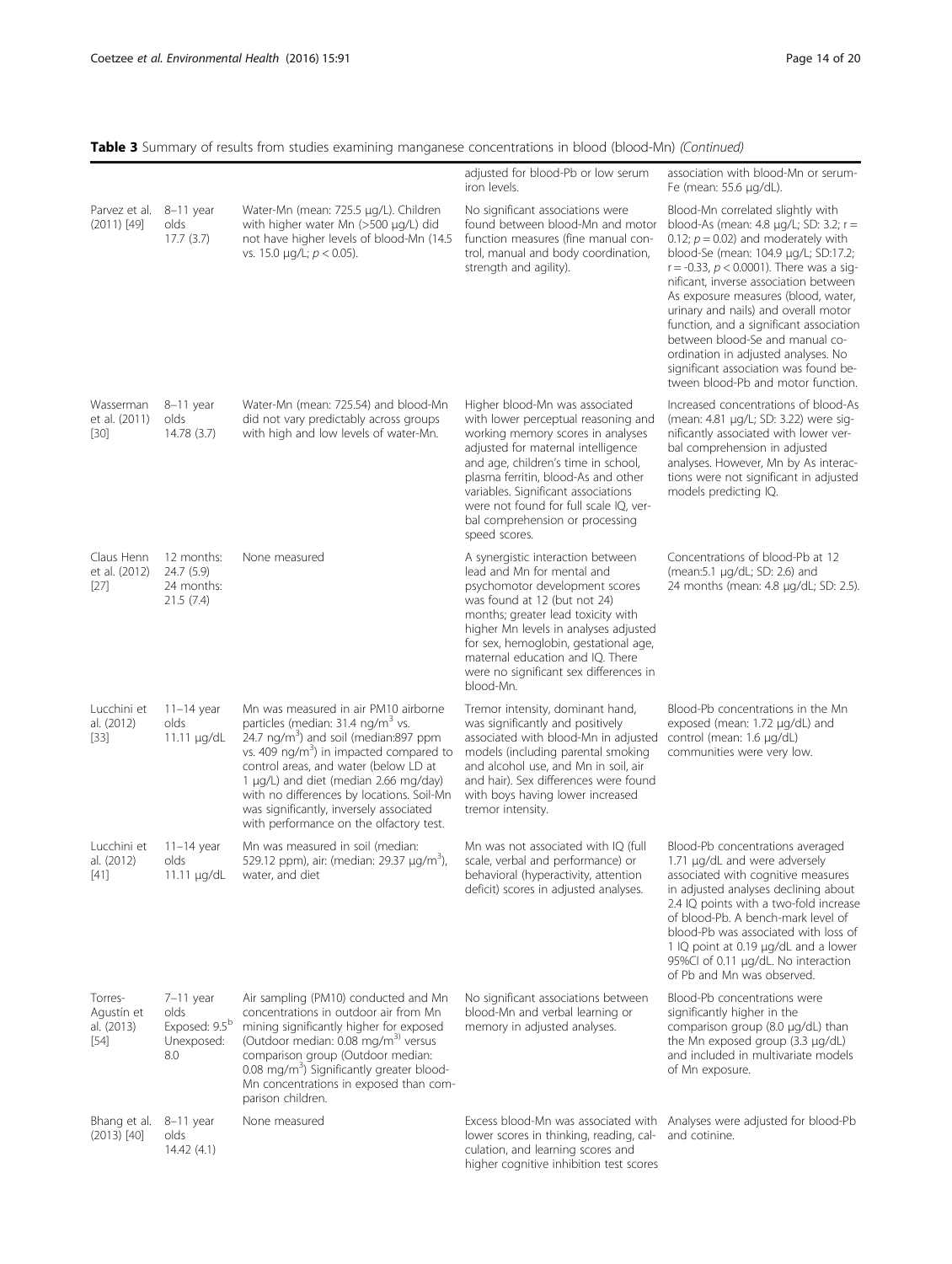|                                               |                                                                       |                                                                                                                                                                                                                                                                                                                                                                                                                        | adjusted for blood-Pb or low serum<br>iron levels.                                                                                                                                                                                                                                                                                                                  | association with blood-Mn or serum-<br>Fe (mean: 55.6 µg/dL).                                                                                                                                                                                                                                                                                                                                                                                                                                                                                 |
|-----------------------------------------------|-----------------------------------------------------------------------|------------------------------------------------------------------------------------------------------------------------------------------------------------------------------------------------------------------------------------------------------------------------------------------------------------------------------------------------------------------------------------------------------------------------|---------------------------------------------------------------------------------------------------------------------------------------------------------------------------------------------------------------------------------------------------------------------------------------------------------------------------------------------------------------------|-----------------------------------------------------------------------------------------------------------------------------------------------------------------------------------------------------------------------------------------------------------------------------------------------------------------------------------------------------------------------------------------------------------------------------------------------------------------------------------------------------------------------------------------------|
| Parvez et al. 8-11 year<br>$(2011)$ [49]      | olds<br>17.7(3.7)                                                     | Water-Mn (mean: 725.5 µg/L). Children<br>with higher water Mn (>500 µg/L) did<br>not have higher levels of blood-Mn (14.5<br>vs. 15.0 $\mu$ g/L; $p < 0.05$ ).                                                                                                                                                                                                                                                         | No significant associations were<br>found between blood-Mn and motor<br>function measures (fine manual con-<br>trol, manual and body coordination,<br>strength and agility).                                                                                                                                                                                        | Blood-Mn correlated slightly with<br>blood-As (mean: 4.8 $\mu$ g/L; SD: 3.2; r =<br>0.12; $p = 0.02$ ) and moderately with<br>blood-Se (mean: 104.9 µg/L; SD:17.2;<br>r = -0.33, $p < 0.0001$ ). There was a sig-<br>nificant, inverse association between<br>As exposure measures (blood, water,<br>urinary and nails) and overall motor<br>function, and a significant association<br>between blood-Se and manual co-<br>ordination in adjusted analyses. No<br>significant association was found be-<br>tween blood-Pb and motor function. |
| Wasserman<br>et al. (2011)<br>$[30]$          | 8-11 year<br>olds<br>14.78 (3.7)                                      | Water-Mn (mean: 725.54) and blood-Mn<br>did not vary predictably across groups<br>with high and low levels of water-Mn.                                                                                                                                                                                                                                                                                                | Higher blood-Mn was associated<br>with lower perceptual reasoning and<br>working memory scores in analyses<br>adjusted for maternal intelligence<br>and age, children's time in school,<br>plasma ferritin, blood-As and other<br>variables. Significant associations<br>were not found for full scale IQ, ver-<br>bal comprehension or processing<br>speed scores. | Increased concentrations of blood-As<br>(mean: 4.81 µg/L; SD: 3.22) were sig-<br>nificantly associated with lower ver-<br>bal comprehension in adjusted<br>analyses. However, Mn by As interac-<br>tions were not significant in adjusted<br>models predicting IQ.                                                                                                                                                                                                                                                                            |
| Claus Henn<br>et al. (2012)<br>[27]           | 12 months:<br>24.7 (5.9)<br>24 months:<br>21.5(7.4)                   | None measured                                                                                                                                                                                                                                                                                                                                                                                                          | A synergistic interaction between<br>lead and Mn for mental and<br>psychomotor development scores<br>was found at 12 (but not 24)<br>months; greater lead toxicity with<br>higher Mn levels in analyses adjusted<br>for sex, hemoglobin, gestational age,<br>maternal education and IQ. There<br>were no significant sex differences in<br>blood-Mn.                | Concentrations of blood-Pb at 12<br>(mean:5.1 µg/dL; SD: 2.6) and<br>24 months (mean: 4.8 µg/dL; SD: 2.5).                                                                                                                                                                                                                                                                                                                                                                                                                                    |
| Lucchini et<br>al. (2012)<br>$[33]$           | $11-14$ year<br>olds<br>11.11 µg/dL                                   | Mn was measured in air PM10 airborne<br>particles (median: 31.4 ng/m <sup>3</sup> vs.<br>24.7 ng/m <sup>3</sup> ) and soil (median:897 ppm<br>vs. 409 ng/m <sup>3</sup> ) in impacted compared to<br>control areas, and water (below LD at<br>1 µg/L) and diet (median 2.66 mg/day)<br>with no differences by locations. Soil-Mn<br>was significantly, inversely associated<br>with performance on the olfactory test. | Tremor intensity, dominant hand,<br>was significantly and positively<br>associated with blood-Mn in adjusted<br>models (including parental smoking<br>and alcohol use, and Mn in soil, air<br>and hair). Sex differences were found<br>with boys having lower increased<br>tremor intensity.                                                                        | Blood-Pb concentrations in the Mn<br>exposed (mean: 1.72 µg/dL) and<br>control (mean: 1.6 µg/dL)<br>communities were very low.                                                                                                                                                                                                                                                                                                                                                                                                                |
| Lucchini et<br>al. (2012)<br>[41]             | $11-14$ year<br>olds                                                  | Mn was measured in soil (median:<br>529.12 ppm), air: (median: 29.37 µg/m <sup>3</sup> ),<br>11.11 $\mu$ g/dL water, and diet                                                                                                                                                                                                                                                                                          | Mn was not associated with IQ (full<br>scale, verbal and performance) or<br>behavioral (hyperactivity, attention<br>deficit) scores in adjusted analyses.                                                                                                                                                                                                           | Blood-Pb concentrations averaged<br>1.71 µg/dL and were adversely<br>associated with cognitive measures<br>in adjusted analyses declining about<br>2.4 IQ points with a two-fold increase<br>of blood-Pb. A bench-mark level of<br>blood-Pb was associated with loss of<br>1 IQ point at 0.19 µg/dL and a lower<br>95%Cl of 0.11 µg/dL. No interaction<br>of Pb and Mn was observed.                                                                                                                                                          |
| Torres-<br>Aqustín et<br>al. (2013)<br>$[54]$ | $7-11$ year<br>olds<br>Exposed: 9.5 <sup>b</sup><br>Unexposed:<br>8.0 | Air sampling (PM10) conducted and Mn<br>concentrations in outdoor air from Mn<br>mining significantly higher for exposed<br>(Outdoor median: 0.08 mg/m <sup>3)</sup> versus<br>comparison group (Outdoor median:<br>$0.08$ mg/m <sup>3</sup> ) Significantly greater blood-<br>Mn concentrations in exposed than com-<br>parison children.                                                                             | No significant associations between<br>blood-Mn and verbal learning or<br>memory in adjusted analyses.                                                                                                                                                                                                                                                              | Blood-Pb concentrations were<br>significantly higher in the<br>comparison group (8.0 µg/dL) than<br>the Mn exposed group (3.3 µg/dL)<br>and included in multivariate models<br>of Mn exposure.                                                                                                                                                                                                                                                                                                                                                |
| Bhang et al.<br>$(2013)$ $[40]$               | 8-11 year<br>olds<br>14.42(4.1)                                       | None measured                                                                                                                                                                                                                                                                                                                                                                                                          | Excess blood-Mn was associated with<br>lower scores in thinking, reading, cal-<br>culation, and learning scores and<br>higher cognitive inhibition test scores                                                                                                                                                                                                      | Analyses were adjusted for blood-Pb<br>and cotinine.                                                                                                                                                                                                                                                                                                                                                                                                                                                                                          |

Table 3 Summary of results from studies examining manganese concentrations in blood (blood-Mn) (Continued)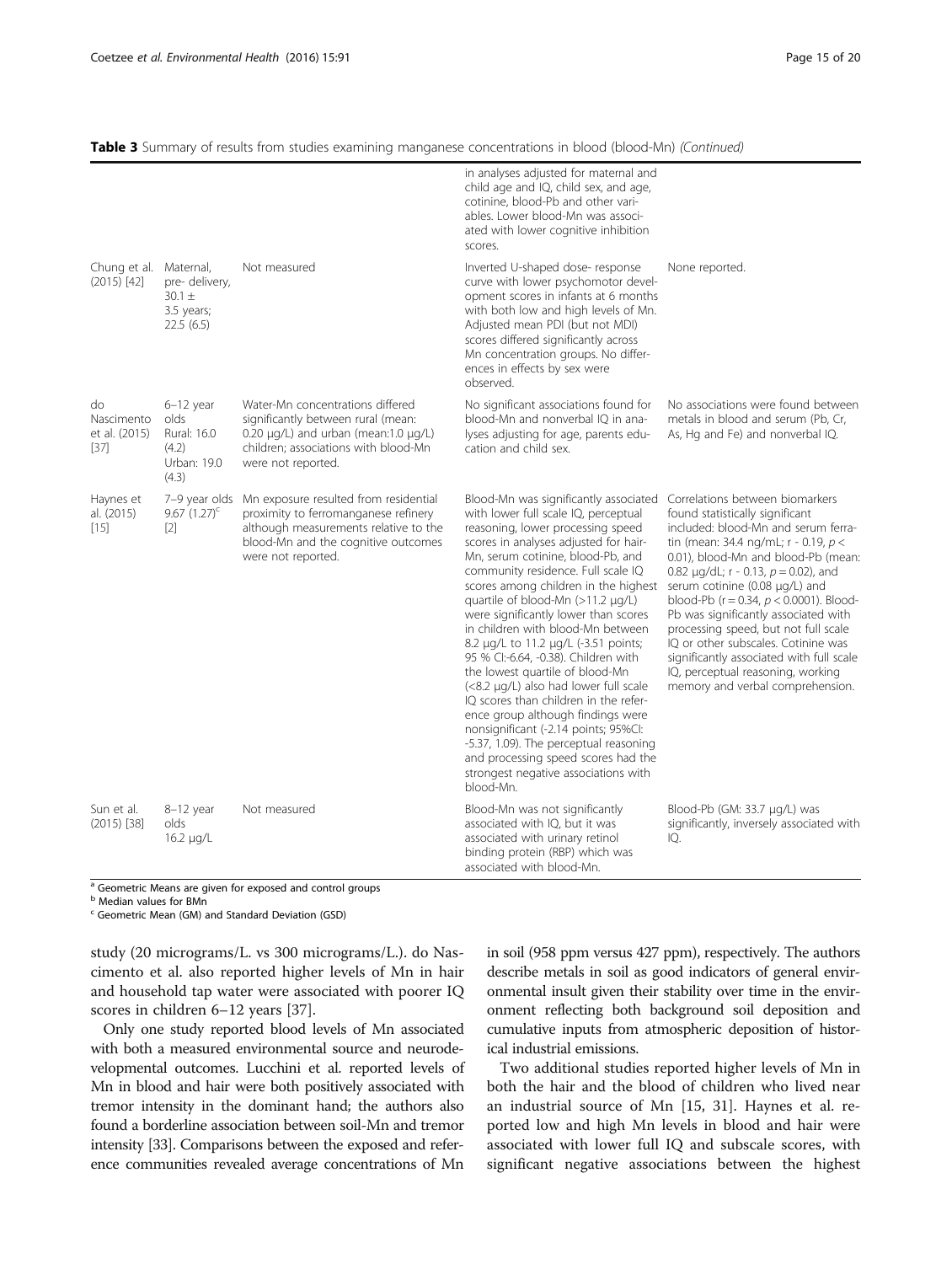|                                             |                                                                      |                                                                                                                                                                                        | in analyses adjusted for maternal and<br>child age and IQ, child sex, and age,<br>cotinine, blood-Pb and other vari-<br>ables. Lower blood-Mn was associ-<br>ated with lower cognitive inhibition<br>scores.                                                                                                                                                                                                                                                                                                                                                                                                                                                                                                                                                                                                             |                                                                                                                                                                                                                                                                                                                                                                                                                                                                                                                                                                            |
|---------------------------------------------|----------------------------------------------------------------------|----------------------------------------------------------------------------------------------------------------------------------------------------------------------------------------|--------------------------------------------------------------------------------------------------------------------------------------------------------------------------------------------------------------------------------------------------------------------------------------------------------------------------------------------------------------------------------------------------------------------------------------------------------------------------------------------------------------------------------------------------------------------------------------------------------------------------------------------------------------------------------------------------------------------------------------------------------------------------------------------------------------------------|----------------------------------------------------------------------------------------------------------------------------------------------------------------------------------------------------------------------------------------------------------------------------------------------------------------------------------------------------------------------------------------------------------------------------------------------------------------------------------------------------------------------------------------------------------------------------|
| Chung et al.<br>$(2015)$ [42]               | Maternal,<br>pre- delivery,<br>$30.1 \pm$<br>3.5 years;<br>22.5(6.5) | Not measured                                                                                                                                                                           | Inverted U-shaped dose-response<br>curve with lower psychomotor devel-<br>opment scores in infants at 6 months<br>with both low and high levels of Mn.<br>Adjusted mean PDI (but not MDI)<br>scores differed significantly across<br>Mn concentration groups. No differ-<br>ences in effects by sex were<br>observed.                                                                                                                                                                                                                                                                                                                                                                                                                                                                                                    | None reported.                                                                                                                                                                                                                                                                                                                                                                                                                                                                                                                                                             |
| do<br>Nascimento<br>et al. (2015)<br>$[37]$ | $6-12$ year<br>olds<br>Rural: 16.0<br>(4.2)<br>Urban: 19.0<br>(4.3)  | Water-Mn concentrations differed<br>significantly between rural (mean:<br>0.20 $\mu$ g/L) and urban (mean:1.0 $\mu$ g/L)<br>children; associations with blood-Mn<br>were not reported. | No significant associations found for<br>blood-Mn and nonverbal IQ in ana-<br>lyses adjusting for age, parents edu-<br>cation and child sex.                                                                                                                                                                                                                                                                                                                                                                                                                                                                                                                                                                                                                                                                             | No associations were found between<br>metals in blood and serum (Pb, Cr,<br>As, Hg and Fe) and nonverbal IQ.                                                                                                                                                                                                                                                                                                                                                                                                                                                               |
| Haynes et<br>al. (2015)<br>$[15]$           | 7-9 year olds<br>9.67 $(1.27)^c$<br>$\lceil 2 \rceil$                | Mn exposure resulted from residential<br>proximity to ferromanganese refinery<br>although measurements relative to the<br>blood-Mn and the cognitive outcomes<br>were not reported.    | Blood-Mn was significantly associated<br>with lower full scale IQ, perceptual<br>reasoning, lower processing speed<br>scores in analyses adjusted for hair-<br>Mn, serum cotinine, blood-Pb, and<br>community residence. Full scale IQ<br>scores among children in the highest<br>quartile of blood-Mn (>11.2 µg/L)<br>were significantly lower than scores<br>in children with blood-Mn between<br>8.2 µg/L to 11.2 µg/L (-3.51 points;<br>95 % CI:-6.64, -0.38). Children with<br>the lowest quartile of blood-Mn<br>(<8.2 µg/L) also had lower full scale<br>IQ scores than children in the refer-<br>ence group although findings were<br>nonsignificant (-2.14 points; 95%Cl:<br>-5.37, 1.09). The perceptual reasoning<br>and processing speed scores had the<br>strongest negative associations with<br>blood-Mn. | Correlations between biomarkers<br>found statistically significant<br>included: blood-Mn and serum ferra-<br>tin (mean: 34.4 ng/mL; r - 0.19, $p$ <<br>0.01), blood-Mn and blood-Pb (mean:<br>0.82 $\mu$ g/dL; r - 0.13, $p = 0.02$ ), and<br>serum cotinine (0.08 µg/L) and<br>blood-Pb ( $r = 0.34$ , $p < 0.0001$ ). Blood-<br>Pb was significantly associated with<br>processing speed, but not full scale<br>IQ or other subscales. Cotinine was<br>significantly associated with full scale<br>IQ, perceptual reasoning, working<br>memory and verbal comprehension. |
| Sun et al.<br>$(2015)$ [38]                 | $8-12$ year<br>olds<br>$16.2 \mu g/L$                                | Not measured                                                                                                                                                                           | Blood-Mn was not significantly<br>associated with IO, but it was<br>associated with urinary retinol<br>binding protein (RBP) which was<br>associated with blood-Mn.                                                                                                                                                                                                                                                                                                                                                                                                                                                                                                                                                                                                                                                      | Blood-Pb (GM: 33.7 µg/L) was<br>significantly, inversely associated with<br>IQ.                                                                                                                                                                                                                                                                                                                                                                                                                                                                                            |

#### Table 3 Summary of results from studies examining manganese concentrations in blood (blood-Mn) (Continued)

<sup>a</sup> Geometric Means are given for exposed and control groups

<sup>b</sup> Median values for BMn

<sup>c</sup> Geometric Mean (GM) and Standard Deviation (GSD)

study (20 micrograms/L. vs 300 micrograms/L.). do Nascimento et al. also reported higher levels of Mn in hair and household tap water were associated with poorer IQ scores in children 6–12 years [[37](#page-19-0)].

Only one study reported blood levels of Mn associated with both a measured environmental source and neurodevelopmental outcomes. Lucchini et al. reported levels of Mn in blood and hair were both positively associated with tremor intensity in the dominant hand; the authors also found a borderline association between soil-Mn and tremor intensity [[33](#page-19-0)]. Comparisons between the exposed and reference communities revealed average concentrations of Mn

in soil (958 ppm versus 427 ppm), respectively. The authors describe metals in soil as good indicators of general environmental insult given their stability over time in the environment reflecting both background soil deposition and cumulative inputs from atmospheric deposition of historical industrial emissions.

Two additional studies reported higher levels of Mn in both the hair and the blood of children who lived near an industrial source of Mn [\[15](#page-18-0), [31\]](#page-19-0). Haynes et al. reported low and high Mn levels in blood and hair were associated with lower full IQ and subscale scores, with significant negative associations between the highest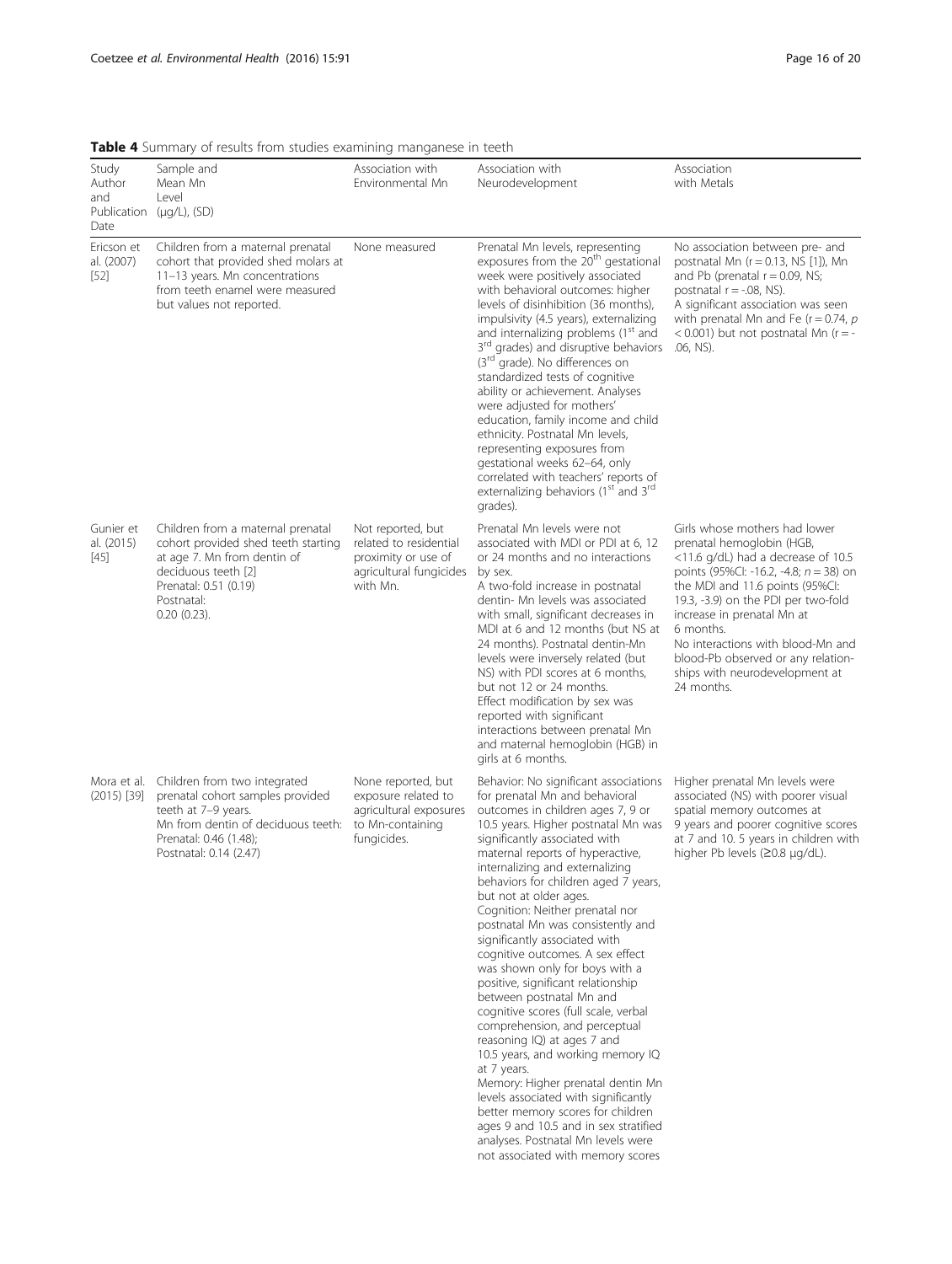<span id="page-15-0"></span>Table 4 Summary of results from studies examining manganese in teeth

| Study<br>Author<br>and<br>Publication<br>Date | Sample and<br>Mean Mn<br>Level<br>$(\mu q/L)$ , (SD)                                                                                                                                    | Association with<br>Environmental Mn                                                                      | Association with<br>Neurodevelopment                                                                                                                                                                                                                                                                                                                                                                                                                                                                                                                                                                                                                                                                                                                                                                                                                                                                                                                                             | Association<br>with Metals                                                                                                                                                                                                                                                                                                                                                                    |
|-----------------------------------------------|-----------------------------------------------------------------------------------------------------------------------------------------------------------------------------------------|-----------------------------------------------------------------------------------------------------------|----------------------------------------------------------------------------------------------------------------------------------------------------------------------------------------------------------------------------------------------------------------------------------------------------------------------------------------------------------------------------------------------------------------------------------------------------------------------------------------------------------------------------------------------------------------------------------------------------------------------------------------------------------------------------------------------------------------------------------------------------------------------------------------------------------------------------------------------------------------------------------------------------------------------------------------------------------------------------------|-----------------------------------------------------------------------------------------------------------------------------------------------------------------------------------------------------------------------------------------------------------------------------------------------------------------------------------------------------------------------------------------------|
| Ericson et<br>al. (2007)<br>$[52]$            | Children from a maternal prenatal<br>cohort that provided shed molars at<br>11-13 years. Mn concentrations<br>from teeth enamel were measured<br>but values not reported.               | None measured                                                                                             | Prenatal Mn levels, representing<br>exposures from the 20 <sup>th</sup> gestational<br>week were positively associated<br>with behavioral outcomes: higher<br>levels of disinhibition (36 months),<br>impulsivity (4.5 years), externalizing<br>and internalizing problems (1st and<br>3rd grades) and disruptive behaviors<br>(3 <sup>rd</sup> grade). No differences on<br>standardized tests of cognitive<br>ability or achievement. Analyses<br>were adjusted for mothers'<br>education, family income and child<br>ethnicity. Postnatal Mn levels,<br>representing exposures from<br>gestational weeks 62-64, only<br>correlated with teachers' reports of<br>externalizing behaviors (1 <sup>st</sup> and 3 <sup>rd</sup><br>grades).                                                                                                                                                                                                                                      | No association between pre- and<br>postnatal Mn $(r = 0.13, NS [1])$ , Mn<br>and Pb (prenatal $r = 0.09$ , NS;<br>postnatal $r = -0.08$ , NS).<br>A significant association was seen<br>with prenatal Mn and Fe ( $r = 0.74$ , $p$<br>< 0.001) but not postnatal Mn ( $r = -$<br>$.06, NS$ ).                                                                                                 |
| Gunier et<br>al. (2015)<br>$[45]$             | Children from a maternal prenatal<br>cohort provided shed teeth starting<br>at age 7. Mn from dentin of<br>deciduous teeth [2]<br>Prenatal: 0.51 (0.19)<br>Postnatal:<br>$0.20(0.23)$ . | Not reported, but<br>related to residential<br>proximity or use of<br>agricultural fungicides<br>with Mn. | Prenatal Mn levels were not<br>associated with MDI or PDI at 6, 12<br>or 24 months and no interactions<br>by sex.<br>A two-fold increase in postnatal<br>dentin- Mn levels was associated<br>with small, significant decreases in<br>MDI at 6 and 12 months (but NS at<br>24 months). Postnatal dentin-Mn<br>levels were inversely related (but<br>NS) with PDI scores at 6 months,<br>but not 12 or 24 months.<br>Effect modification by sex was<br>reported with significant<br>interactions between prenatal Mn<br>and maternal hemoglobin (HGB) in<br>girls at 6 months.                                                                                                                                                                                                                                                                                                                                                                                                     | Girls whose mothers had lower<br>prenatal hemoglobin (HGB,<br><11.6 g/dL) had a decrease of 10.5<br>points (95%Cl: -16.2, -4.8; $n = 38$ ) on<br>the MDI and 11.6 points (95%Cl:<br>19.3, -3.9) on the PDI per two-fold<br>increase in prenatal Mn at<br>6 months.<br>No interactions with blood-Mn and<br>blood-Pb observed or any relation-<br>ships with neurodevelopment at<br>24 months. |
| Mora et al.<br>$(2015)$ [39]                  | Children from two integrated<br>prenatal cohort samples provided<br>teeth at 7-9 years.<br>Mn from dentin of deciduous teeth:<br>Prenatal: 0.46 (1.48);<br>Postnatal: 0.14 (2.47)       | None reported, but<br>exposure related to<br>agricultural exposures<br>to Mn-containing<br>fungicides.    | Behavior: No significant associations<br>for prenatal Mn and behavioral<br>outcomes in children ages 7, 9 or<br>10.5 years. Higher postnatal Mn was<br>significantly associated with<br>maternal reports of hyperactive,<br>internalizing and externalizing<br>behaviors for children aged 7 years,<br>but not at older ages.<br>Cognition: Neither prenatal nor<br>postnatal Mn was consistently and<br>significantly associated with<br>cognitive outcomes. A sex effect<br>was shown only for boys with a<br>positive, significant relationship<br>between postnatal Mn and<br>cognitive scores (full scale, verbal<br>comprehension, and perceptual<br>reasoning IQ) at ages 7 and<br>10.5 years, and working memory IQ<br>at 7 years.<br>Memory: Higher prenatal dentin Mn<br>levels associated with significantly<br>better memory scores for children<br>ages 9 and 10.5 and in sex stratified<br>analyses. Postnatal Mn levels were<br>not associated with memory scores | Higher prenatal Mn levels were<br>associated (NS) with poorer visual<br>spatial memory outcomes at<br>9 years and poorer cognitive scores<br>at 7 and 10. 5 years in children with<br>higher Pb levels (≥0.8 µg/dL).                                                                                                                                                                          |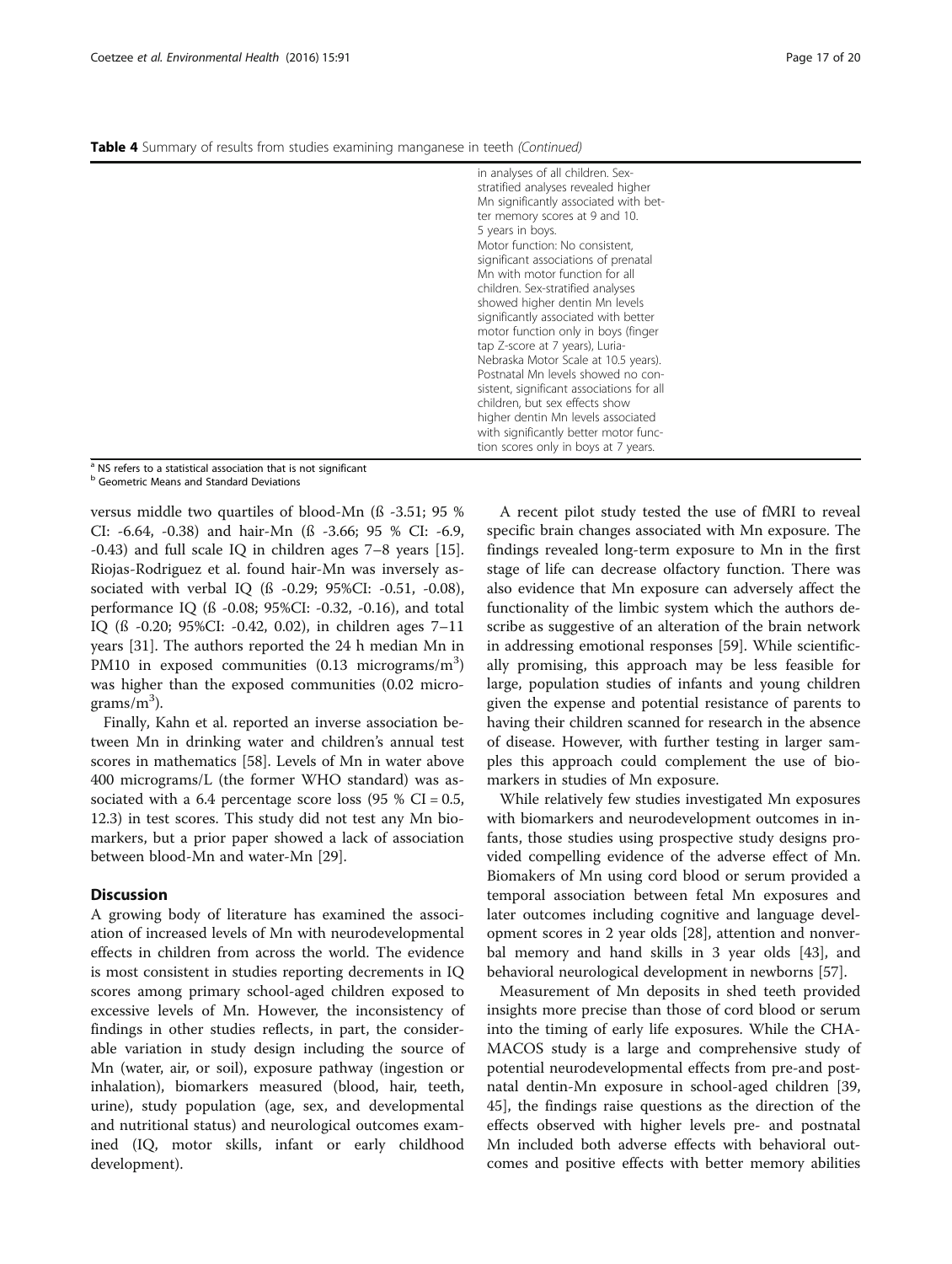| <b>Table 4</b> Summary of results from studies examining manganese in teeth (Continued) |  |  |  |  |
|-----------------------------------------------------------------------------------------|--|--|--|--|
|                                                                                         |  |  |  |  |

| in analyses of all children. Sex-<br>stratified analyses revealed higher<br>Mn significantly associated with bet-<br>ter memory scores at 9 and 10.<br>5 years in boys.<br>Motor function: No consistent,<br>significant associations of prenatal<br>Mn with motor function for all<br>children. Sex-stratified analyses<br>showed higher dentin Mn levels<br>significantly associated with better<br>motor function only in boys (finger<br>tap Z-score at 7 years), Luria-<br>Nebraska Motor Scale at 10.5 years). |
|----------------------------------------------------------------------------------------------------------------------------------------------------------------------------------------------------------------------------------------------------------------------------------------------------------------------------------------------------------------------------------------------------------------------------------------------------------------------------------------------------------------------|
|                                                                                                                                                                                                                                                                                                                                                                                                                                                                                                                      |
| Postnatal Mn levels showed no con-                                                                                                                                                                                                                                                                                                                                                                                                                                                                                   |
| sistent, significant associations for all                                                                                                                                                                                                                                                                                                                                                                                                                                                                            |
| children, but sex effects show                                                                                                                                                                                                                                                                                                                                                                                                                                                                                       |
| higher dentin Mn levels associated                                                                                                                                                                                                                                                                                                                                                                                                                                                                                   |
| with significantly better motor func-                                                                                                                                                                                                                                                                                                                                                                                                                                                                                |
| tion scores only in boys at 7 years.                                                                                                                                                                                                                                                                                                                                                                                                                                                                                 |
|                                                                                                                                                                                                                                                                                                                                                                                                                                                                                                                      |

<sup>a</sup> NS refers to a statistical association that is not significant

**b** Geometric Means and Standard Deviations

versus middle two quartiles of blood-Mn (ß -3.51; 95 % CI: -6.64, -0.38) and hair-Mn (ß -3.66; 95 % CI: -6.9, -0.43) and full scale IQ in children ages 7–8 years [\[15](#page-18-0)]. Riojas-Rodriguez et al. found hair-Mn was inversely associated with verbal IQ (ß -0.29; 95%CI: -0.51, -0.08), performance IQ (ß -0.08; 95%CI: -0.32, -0.16), and total IQ (ß -0.20; 95%CI: -0.42, 0.02), in children ages 7–11 years [[31\]](#page-19-0). The authors reported the 24 h median Mn in PM10 in exposed communities  $(0.13 \text{ micrograms/m}^3)$ was higher than the exposed communities (0.02 micro $grams/m<sup>3</sup>$ ).

Finally, Kahn et al. reported an inverse association between Mn in drinking water and children's annual test scores in mathematics [[58](#page-19-0)]. Levels of Mn in water above 400 micrograms/L (the former WHO standard) was associated with a 6.4 percentage score loss  $(95 % CI = 0.5,$ 12.3) in test scores. This study did not test any Mn biomarkers, but a prior paper showed a lack of association between blood-Mn and water-Mn [[29\]](#page-19-0).

#### **Discussion**

A growing body of literature has examined the association of increased levels of Mn with neurodevelopmental effects in children from across the world. The evidence is most consistent in studies reporting decrements in IQ scores among primary school-aged children exposed to excessive levels of Mn. However, the inconsistency of findings in other studies reflects, in part, the considerable variation in study design including the source of Mn (water, air, or soil), exposure pathway (ingestion or inhalation), biomarkers measured (blood, hair, teeth, urine), study population (age, sex, and developmental and nutritional status) and neurological outcomes examined (IQ, motor skills, infant or early childhood development).

A recent pilot study tested the use of fMRI to reveal specific brain changes associated with Mn exposure. The findings revealed long-term exposure to Mn in the first stage of life can decrease olfactory function. There was also evidence that Mn exposure can adversely affect the functionality of the limbic system which the authors describe as suggestive of an alteration of the brain network in addressing emotional responses [[59](#page-19-0)]. While scientifically promising, this approach may be less feasible for large, population studies of infants and young children given the expense and potential resistance of parents to having their children scanned for research in the absence of disease. However, with further testing in larger samples this approach could complement the use of biomarkers in studies of Mn exposure.

While relatively few studies investigated Mn exposures with biomarkers and neurodevelopment outcomes in infants, those studies using prospective study designs provided compelling evidence of the adverse effect of Mn. Biomakers of Mn using cord blood or serum provided a temporal association between fetal Mn exposures and later outcomes including cognitive and language development scores in 2 year olds [\[28\]](#page-19-0), attention and nonverbal memory and hand skills in 3 year olds [\[43\]](#page-19-0), and behavioral neurological development in newborns [\[57\]](#page-19-0).

Measurement of Mn deposits in shed teeth provided insights more precise than those of cord blood or serum into the timing of early life exposures. While the CHA-MACOS study is a large and comprehensive study of potential neurodevelopmental effects from pre-and postnatal dentin-Mn exposure in school-aged children [[39](#page-19-0), [45\]](#page-19-0), the findings raise questions as the direction of the effects observed with higher levels pre- and postnatal Mn included both adverse effects with behavioral outcomes and positive effects with better memory abilities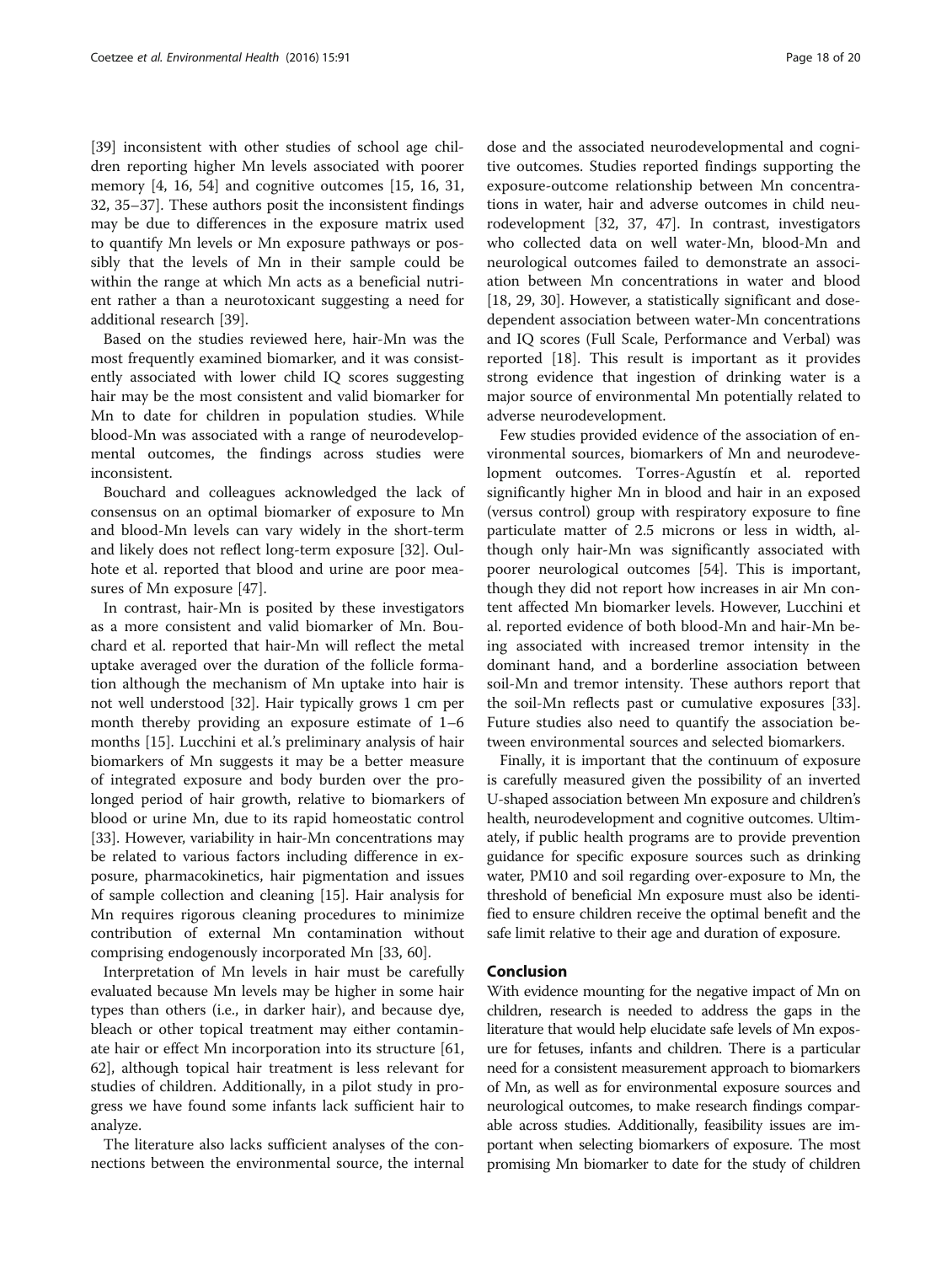[[39\]](#page-19-0) inconsistent with other studies of school age children reporting higher Mn levels associated with poorer memory [[4, 16](#page-18-0), [54](#page-19-0)] and cognitive outcomes [[15, 16,](#page-18-0) [31](#page-19-0), [32, 35](#page-19-0)–[37](#page-19-0)]. These authors posit the inconsistent findings may be due to differences in the exposure matrix used to quantify Mn levels or Mn exposure pathways or possibly that the levels of Mn in their sample could be within the range at which Mn acts as a beneficial nutrient rather a than a neurotoxicant suggesting a need for additional research [\[39](#page-19-0)].

Based on the studies reviewed here, hair-Mn was the most frequently examined biomarker, and it was consistently associated with lower child IQ scores suggesting hair may be the most consistent and valid biomarker for Mn to date for children in population studies. While blood-Mn was associated with a range of neurodevelopmental outcomes, the findings across studies were inconsistent.

Bouchard and colleagues acknowledged the lack of consensus on an optimal biomarker of exposure to Mn and blood-Mn levels can vary widely in the short-term and likely does not reflect long-term exposure [\[32\]](#page-19-0). Oulhote et al. reported that blood and urine are poor measures of Mn exposure [[47\]](#page-19-0).

In contrast, hair-Mn is posited by these investigators as a more consistent and valid biomarker of Mn. Bouchard et al. reported that hair-Mn will reflect the metal uptake averaged over the duration of the follicle formation although the mechanism of Mn uptake into hair is not well understood [\[32\]](#page-19-0). Hair typically grows 1 cm per month thereby providing an exposure estimate of 1–6 months [[15\]](#page-18-0). Lucchini et al.'s preliminary analysis of hair biomarkers of Mn suggests it may be a better measure of integrated exposure and body burden over the prolonged period of hair growth, relative to biomarkers of blood or urine Mn, due to its rapid homeostatic control [[33\]](#page-19-0). However, variability in hair-Mn concentrations may be related to various factors including difference in exposure, pharmacokinetics, hair pigmentation and issues of sample collection and cleaning [\[15](#page-18-0)]. Hair analysis for Mn requires rigorous cleaning procedures to minimize contribution of external Mn contamination without comprising endogenously incorporated Mn [[33, 60\]](#page-19-0).

Interpretation of Mn levels in hair must be carefully evaluated because Mn levels may be higher in some hair types than others (i.e., in darker hair), and because dye, bleach or other topical treatment may either contaminate hair or effect Mn incorporation into its structure [[61](#page-19-0), [62\]](#page-19-0), although topical hair treatment is less relevant for studies of children. Additionally, in a pilot study in progress we have found some infants lack sufficient hair to analyze.

The literature also lacks sufficient analyses of the connections between the environmental source, the internal dose and the associated neurodevelopmental and cognitive outcomes. Studies reported findings supporting the exposure-outcome relationship between Mn concentrations in water, hair and adverse outcomes in child neurodevelopment [\[32, 37, 47](#page-19-0)]. In contrast, investigators who collected data on well water-Mn, blood-Mn and neurological outcomes failed to demonstrate an association between Mn concentrations in water and blood [[18, 29, 30\]](#page-19-0). However, a statistically significant and dosedependent association between water-Mn concentrations and IQ scores (Full Scale, Performance and Verbal) was reported [\[18](#page-19-0)]. This result is important as it provides strong evidence that ingestion of drinking water is a major source of environmental Mn potentially related to adverse neurodevelopment.

Few studies provided evidence of the association of environmental sources, biomarkers of Mn and neurodevelopment outcomes. Torres-Agustín et al. reported significantly higher Mn in blood and hair in an exposed (versus control) group with respiratory exposure to fine particulate matter of 2.5 microns or less in width, although only hair-Mn was significantly associated with poorer neurological outcomes [\[54](#page-19-0)]. This is important, though they did not report how increases in air Mn content affected Mn biomarker levels. However, Lucchini et al. reported evidence of both blood-Mn and hair-Mn being associated with increased tremor intensity in the dominant hand, and a borderline association between soil-Mn and tremor intensity. These authors report that the soil-Mn reflects past or cumulative exposures [\[33](#page-19-0)]. Future studies also need to quantify the association between environmental sources and selected biomarkers.

Finally, it is important that the continuum of exposure is carefully measured given the possibility of an inverted U-shaped association between Mn exposure and children's health, neurodevelopment and cognitive outcomes. Ultimately, if public health programs are to provide prevention guidance for specific exposure sources such as drinking water, PM10 and soil regarding over-exposure to Mn, the threshold of beneficial Mn exposure must also be identified to ensure children receive the optimal benefit and the safe limit relative to their age and duration of exposure.

#### Conclusion

With evidence mounting for the negative impact of Mn on children, research is needed to address the gaps in the literature that would help elucidate safe levels of Mn exposure for fetuses, infants and children. There is a particular need for a consistent measurement approach to biomarkers of Mn, as well as for environmental exposure sources and neurological outcomes, to make research findings comparable across studies. Additionally, feasibility issues are important when selecting biomarkers of exposure. The most promising Mn biomarker to date for the study of children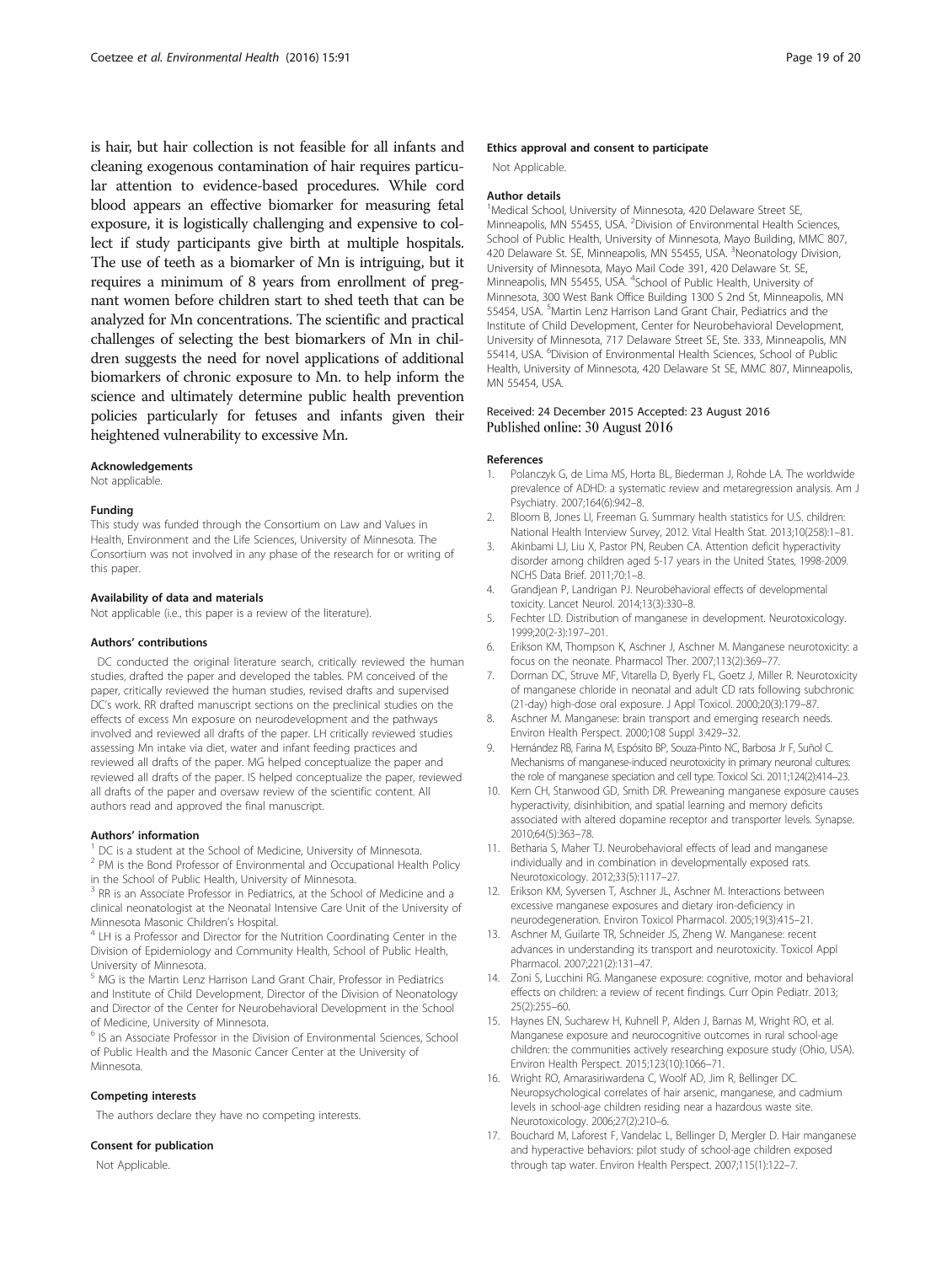<span id="page-18-0"></span>is hair, but hair collection is not feasible for all infants and cleaning exogenous contamination of hair requires particular attention to evidence-based procedures. While cord blood appears an effective biomarker for measuring fetal exposure, it is logistically challenging and expensive to collect if study participants give birth at multiple hospitals. The use of teeth as a biomarker of Mn is intriguing, but it requires a minimum of 8 years from enrollment of pregnant women before children start to shed teeth that can be analyzed for Mn concentrations. The scientific and practical challenges of selecting the best biomarkers of Mn in children suggests the need for novel applications of additional biomarkers of chronic exposure to Mn. to help inform the science and ultimately determine public health prevention policies particularly for fetuses and infants given their heightened vulnerability to excessive Mn.

#### Acknowledgements

Not applicable.

#### Funding

This study was funded through the Consortium on Law and Values in Health, Environment and the Life Sciences, University of Minnesota. The Consortium was not involved in any phase of the research for or writing of this paper.

#### Availability of data and materials

Not applicable (i.e., this paper is a review of the literature).

#### Authors' contributions

DC conducted the original literature search, critically reviewed the human studies, drafted the paper and developed the tables. PM conceived of the paper, critically reviewed the human studies, revised drafts and supervised DC's work. RR drafted manuscript sections on the preclinical studies on the effects of excess Mn exposure on neurodevelopment and the pathways involved and reviewed all drafts of the paper. LH critically reviewed studies assessing Mn intake via diet, water and infant feeding practices and reviewed all drafts of the paper. MG helped conceptualize the paper and reviewed all drafts of the paper. IS helped conceptualize the paper, reviewed all drafts of the paper and oversaw review of the scientific content. All authors read and approved the final manuscript.

**Authors' information**<br><sup>1</sup> DC is a student at the School of Medicine, University of Minnesota.

<sup>2</sup> PM is the Bond Professor of Environmental and Occupational Health Policy in the School of Public Health, University of Minnesota.

<sup>3</sup> RR is an Associate Professor in Pediatrics, at the School of Medicine and a clinical neonatologist at the Neonatal Intensive Care Unit of the University of Minnesota Masonic Children's Hospital.

 $4$  LH is a Professor and Director for the Nutrition Coordinating Center in the Division of Epidemiology and Community Health, School of Public Health, University of Minnesota.

<sup>5</sup> MG is the Martin Lenz Harrison Land Grant Chair, Professor in Pediatrics and Institute of Child Development, Director of the Division of Neonatology and Director of the Center for Neurobehavioral Development in the School of Medicine, University of Minnesota.

<sup>6</sup> IS an Associate Professor in the Division of Environmental Sciences, School of Public Health and the Masonic Cancer Center at the University of Minnesota.

#### Competing interests

The authors declare they have no competing interests.

#### Consent for publication

Not Applicable.

#### Ethics approval and consent to participate

Not Applicable.

#### Author details

<sup>1</sup>Medical School, University of Minnesota, 420 Delaware Street SE, Minneapolis, MN 55455, USA. <sup>2</sup> Division of Environmental Health Sciences, School of Public Health, University of Minnesota, Mayo Building, MMC 807, 420 Delaware St. SE, Minneapolis, MN 55455, USA. <sup>3</sup>Neonatology Division University of Minnesota, Mayo Mail Code 391, 420 Delaware St. SE, Minneapolis, MN 55455, USA. <sup>4</sup>School of Public Health, University of Minnesota, 300 West Bank Office Building 1300 S 2nd St, Minneapolis, MN 55454, USA. <sup>5</sup>Martin Lenz Harrison Land Grant Chair, Pediatrics and the Institute of Child Development, Center for Neurobehavioral Development, University of Minnesota, 717 Delaware Street SE, Ste. 333, Minneapolis, MN 55414, USA. <sup>6</sup>Division of Environmental Health Sciences, School of Public Health, University of Minnesota, 420 Delaware St SE, MMC 807, Minneapolis, MN 55454, USA.

## Received: 24 December 2015 Accepted: 23 August 2016

#### References

- 1. Polanczyk G, de Lima MS, Horta BL, Biederman J, Rohde LA. The worldwide prevalence of ADHD: a systematic review and metaregression analysis. Am J Psychiatry. 2007;164(6):942–8.
- 2. Bloom B, Jones LI, Freeman G. Summary health statistics for U.S. children: National Health Interview Survey, 2012. Vital Health Stat. 2013;10(258):1–81.
- Akinbami LJ, Liu X, Pastor PN, Reuben CA. Attention deficit hyperactivity disorder among children aged 5-17 years in the United States, 1998-2009. NCHS Data Brief. 2011;70:1–8.
- 4. Grandjean P, Landrigan PJ. Neurobehavioral effects of developmental toxicity. Lancet Neurol. 2014;13(3):330–8.
- 5. Fechter LD. Distribution of manganese in development. Neurotoxicology. 1999;20(2-3):197–201.
- 6. Erikson KM, Thompson K, Aschner J, Aschner M. Manganese neurotoxicity: a focus on the neonate. Pharmacol Ther. 2007;113(2):369–77.
- 7. Dorman DC, Struve MF, Vitarella D, Byerly FL, Goetz J, Miller R. Neurotoxicity of manganese chloride in neonatal and adult CD rats following subchronic (21-day) high-dose oral exposure. J Appl Toxicol. 2000;20(3):179–87.
- 8. Aschner M. Manganese: brain transport and emerging research needs. Environ Health Perspect. 2000;108 Suppl 3:429–32.
- 9. Hernández RB, Farina M, Espósito BP, Souza-Pinto NC, Barbosa Jr F, Suñol C. Mechanisms of manganese-induced neurotoxicity in primary neuronal cultures: the role of manganese speciation and cell type. Toxicol Sci. 2011;124(2):414–23.
- 10. Kern CH, Stanwood GD, Smith DR. Preweaning manganese exposure causes hyperactivity, disinhibition, and spatial learning and memory deficits associated with altered dopamine receptor and transporter levels. Synapse. 2010;64(5):363–78.
- 11. Betharia S, Maher TJ. Neurobehavioral effects of lead and manganese individually and in combination in developmentally exposed rats. Neurotoxicology. 2012;33(5):1117–27.
- 12. Erikson KM, Syversen T, Aschner JL, Aschner M. Interactions between excessive manganese exposures and dietary iron-deficiency in neurodegeneration. Environ Toxicol Pharmacol. 2005;19(3):415–21.
- 13. Aschner M, Guilarte TR, Schneider JS, Zheng W. Manganese: recent advances in understanding its transport and neurotoxicity. Toxicol Appl Pharmacol. 2007;221(2):131–47.
- 14. Zoni S, Lucchini RG. Manganese exposure: cognitive, motor and behavioral effects on children: a review of recent findings. Curr Opin Pediatr. 2013; 25(2):255–60.
- 15. Haynes EN, Sucharew H, Kuhnell P, Alden J, Barnas M, Wright RO, et al. Manganese exposure and neurocognitive outcomes in rural school-age children: the communities actively researching exposure study (Ohio, USA). Environ Health Perspect. 2015;123(10):1066–71.
- 16. Wright RO, Amarasiriwardena C, Woolf AD, Jim R, Bellinger DC. Neuropsychological correlates of hair arsenic, manganese, and cadmium levels in school-age children residing near a hazardous waste site. Neurotoxicology. 2006;27(2):210–6.
- 17. Bouchard M, Laforest F, Vandelac L, Bellinger D, Mergler D. Hair manganese and hyperactive behaviors: pilot study of school-age children exposed through tap water. Environ Health Perspect. 2007;115(1):122–7.